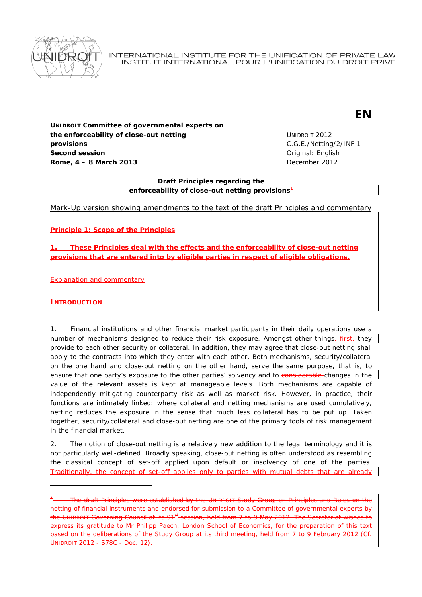

INTERNATIONAL INSTITUTE FOR THE UNIFICATION OF PRIVATE LAW INSTITUT INTERNATIONAL POUR L'UNIFICATION DU DROIT PRIVE

# **EN**

**UNIDROIT Committee of governmental experts on the enforceability of close-out netting provisions Second session Second session** *Second session* **Rome, 4 – 8 March 2013 December 2012** 

UNIDROIT 2012 C.G.E./Netting/2/INF 1

# **Draft Principles regarding the enforceability of close-out netting provisions***<sup>1</sup>*

Mark-Up version showing amendments to the text of the draft Principles and commentary

**Principle 1: Scope of the Principles**

*1. These Principles deal with the effects and the enforceability of close-out netting provisions that are entered into by eligible parties in respect of eligible obligations.* 

Explanation and commentary

#### **INTRODUCTION**

1

1. Financial institutions and other financial market participants in their daily operations use a number of mechanisms designed to reduce their risk exposure. Amongst other things-first, they provide to each other security or collateral. In addition, they may agree that close-out netting shall apply to the contracts into which they enter with each other. Both mechanisms, security/collateral on the one hand and close-out netting on the other hand, serve the same purpose, that is, to ensure that one party's exposure to the other parties' solvency and to considerable changes in the value of the relevant assets is kept at manageable levels. Both mechanisms are capable of independently mitigating counterparty risk as well as market risk. However, in practice, their functions are intimately linked: where collateral and netting mechanisms are used cumulatively, netting reduces the exposure in the sense that much less collateral has to be put up. Taken together, security/collateral and close-out netting are one of the primary tools of risk management in the financial market.

2. The notion of close-out netting is a relatively new addition to the legal terminology and it is not particularly well-defined. Broadly speaking, close-out netting is often understood as resembling the classical concept of set-off applied upon default or insolvency of one of the parties. Traditionally, the concept of set-off applies only to parties with mutual debts that are already

<sup>1</sup> The draft Principles were established by the UNIDROIT *Study Group on Principles and Rules on the netting of financial instruments* and endorsed for submission to a Committee of governmental experts by the UNIDROIT Governing Council at its 91<sup>st</sup> session, held from 7 to 9 May 2012. The Secretariat wishes to express its gratitude to Mr Philipp Paech, London School of Economics, for the preparation of this text based on the deliberations of the Study Group at its third meeting, held from 7 to 9 February 2012 (*Cf.* UNIDROIT 2012 - S78C - Doc. 12).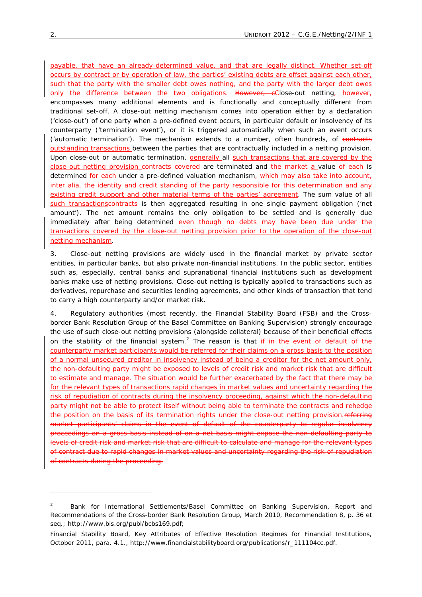payable, that have an already-determined value, and that are legally distinct. Whether set-off occurs by contract or by operation of law, the parties' existing debts are offset against each other, such that the party with the smaller debt owes nothing, and the party with the larger debt owes only the difference between the two obligations. However, eClose-out netting, however, encompasses many additional elements and is functionally and conceptually different from traditional set-off. A close-out netting mechanism comes into operation either by a declaration ('close-out') of one party when a pre-defined event occurs, in particular default or insolvency of its counterparty ('termination event'), or it is triggered automatically when such an event occurs ('automatic termination'). The mechanism extends to a number, often hundreds, of contracts outstanding transactions between the parties that are contractually included in a netting provision. Upon close-out or automatic termination, *generally* all such transactions that are covered by the close-out netting provision contracts covered are terminated and the market a value of each is determined for each under a pre-defined valuation mechanism, which may also take into account, *inter alia*, the identity and credit standing of the party responsible for this determination and any existing credit support and other material terms of the parties' agreement. The sum value of all such transactionscontracts is then aggregated resulting in one single payment obligation ('net amount'). The net amount remains the only obligation to be settled and is generally due immediately after being determined even though no debts may have been due under the transactions covered by the close-out netting provision prior to the operation of the close-out netting mechanism.

3. Close-out netting provisions are widely used in the financial market by private sector entities, in particular banks, but also private non-financial institutions. In the public sector, entities such as, especially, central banks and supranational financial institutions such as development banks make use of netting provisions. Close-out netting is typically applied to transactions such as derivatives, repurchase and securities lending agreements, and other kinds of transaction that tend to carry a high counterparty and/or market risk.

4. Regulatory authorities (most recently, the *Financial Stability Board* (FSB) and the *Crossborder Bank Resolution Group* of the Basel Committee on Banking Supervision) strongly encourage the use of such close-out netting provisions (alongside collateral) because of their beneficial effects on the stability of the financial system.<sup>2</sup> The reason is that if in the event of default of the counterparty market participants would be referred for their claims on a gross basis to the position of a normal unsecured creditor in insolvency instead of being a creditor for the net amount only, the non-defaulting party might be exposed to levels of credit risk and market risk that are difficult to estimate and manage. The situation would be further exacerbated by the fact that there may be for the relevant types of transactions rapid changes in market values and uncertainty regarding the risk of repudiation of contracts during the insolvency proceeding, against which the non-defaulting party might not be able to protect itself without being able to terminate the contracts and rehedge the position on the basis of its termination rights under the close-out netting provision. referring market participants' claims in the event of default of the counterparty to regular insolvency proceedings on a gross basis instead of on a net basis might expose the non-defaulting party to levels of credit risk and market risk that are difficult to calculate and manage for the relevant types of contract due to rapid changes in market values and uncertainty regarding the risk of repudiation of contracts during the proceeding.

<sup>2</sup> Bank for International Settlements/Basel Committee on Banking Supervision, Report and Recommendations of the Cross-border Bank Resolution Group, March 2010, Recommendation 8, p. 36 *et seq*.; http://www.bis.org/publ/bcbs169.pdf;

Financial Stability Board, Key Attributes of Effective Resolution Regimes for Financial Institutions, October 2011, para. 4.1., http://www.financialstabilityboard.org/publications/r\_111104cc.pdf.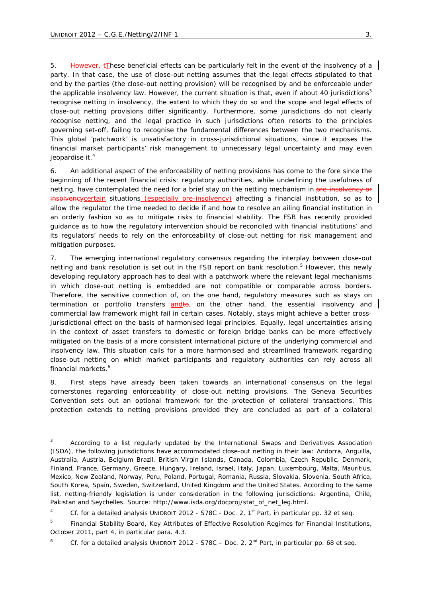1

5. However, tThese beneficial effects can be particularly felt in the event of the insolvency of a party. In that case, the use of close-out netting assumes that the legal effects stipulated to that end by the parties (the close-out netting provision) will be recognised by and be enforceable under the applicable insolvency law. However, the current situation is that, even if about 40 jurisdictions<sup>3</sup> recognise netting in insolvency, the extent to which they do so and the scope and legal effects of close-out netting provisions differ significantly. Furthermore, some jurisdictions do not clearly recognise netting, and the legal practice in such jurisdictions often resorts to the principles governing set-off, failing to recognise the fundamental differences between the two mechanisms. This global 'patchwork' is unsatisfactory in cross-jurisdictional situations, since it exposes the financial market participants' risk management to unnecessary legal uncertainty and may even jeopardise it.<sup>4</sup>

6. An additional aspect of the enforceability of netting provisions has come to the fore since the beginning of the recent financial crisis: regulatory authorities, while underlining the usefulness of netting, have contemplated the need for a brief stay on the netting mechanism in pre-insolvency or insolveney certain situations (especially pre-insolvency) affecting a financial institution, so as to allow the regulator the time needed to decide if and how to resolve an ailing financial institution in an orderly fashion so as to mitigate risks to financial stability. The FSB has recently provided guidance as to how the regulatory intervention should be reconciled with financial institutions' and its regulators' needs to rely on the enforceability of close-out netting for risk management and mitigation purposes.

7. The emerging international regulatory consensus regarding the interplay between close-out netting and bank resolution is set out in the FSB report on bank resolution.<sup>5</sup> However, this newly developing regulatory approach has to deal with a patchwork where the relevant legal mechanisms in which close-out netting is embedded are not compatible or comparable across borders. Therefore, the sensitive connection of, on the one hand, regulatory measures such as stays on termination or portfolio transfers andto, on the other hand, the essential insolvency and commercial law framework might fail in certain cases. Notably, stays might achieve a better crossjurisdictional effect on the basis of harmonised legal principles. Equally, legal uncertainties arising in the context of asset transfers to domestic or foreign bridge banks can be more effectively mitigated on the basis of a more consistent international picture of the underlying commercial and insolvency law. This situation calls for a more harmonised and streamlined framework regarding close-out netting on which market participants and regulatory authorities can rely across all financial markets.<sup>6</sup>

8. First steps have already been taken towards an international consensus on the legal cornerstones regarding enforceability of close-out netting provisions. The Geneva Securities Convention sets out an optional framework for the protection of collateral transactions. This protection extends to netting provisions provided they are concluded as part of a collateral

<sup>3</sup> According to a list regularly updated by the International Swaps and Derivatives Association (ISDA), the following jurisdictions have accommodated close-out netting in their law: Andorra, Anguilla, Australia, Austria, Belgium Brazil, British Virgin Islands, Canada, Colombia, Czech Republic, Denmark, Finland, France, Germany, Greece, Hungary, Ireland, Israel, Italy, Japan, Luxembourg, Malta, Mauritius, Mexico, New Zealand, Norway, Peru, Poland, Portugal, Romania, Russia, Slovakia, Slovenia, South Africa, South Korea, Spain, Sweden, Switzerland, United Kingdom and the United States. According to the same list, netting-friendly legislation is under consideration in the following jurisdictions: Argentina, Chile, Pakistan and Seychelles. Source: http://www.isda.org/docproj/stat\_of\_net\_leg.html.

<sup>4</sup> *Cf.* for a detailed analysis UNIDROIT 2012 - S78C - Doc. 2, 1<sup>st</sup> Part, in particular pp. 32 *et seq.* 

<sup>5</sup> Financial Stability Board, Key Attributes of Effective Resolution Regimes for Financial Institutions, October 2011, part 4, in particular para. 4.3.

<sup>6</sup> *Cf.* for a detailed analysis UNIDROIT 2012 - S78C – Doc. 2, 2<sup>nd</sup> Part, in particular pp. 68 *et seq.*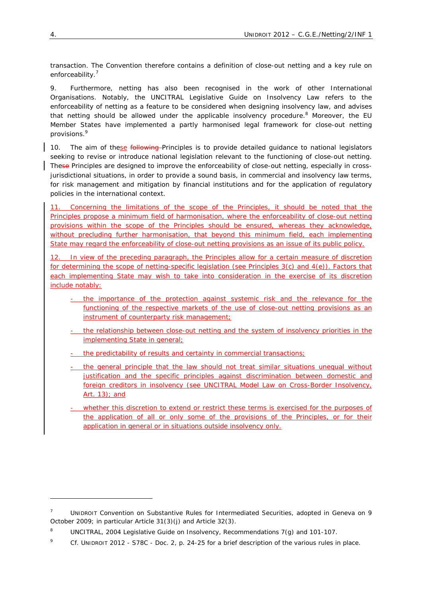transaction. The Convention therefore contains a definition of close-out netting and a key rule on enforceability.<sup>7</sup>

9. Furthermore, netting has also been recognised in the work of other International Organisations. Notably, the UNCITRAL Legislative Guide on Insolvency Law refers to the enforceability of netting as a feature to be considered when designing insolvency law, and advises that netting should be allowed under the applicable insolvency procedure.<sup>8</sup> Moreover, the EU Member States have implemented a partly harmonised legal framework for close-out netting provisions.9

10. The aim of these following Principles is to provide detailed guidance to national legislators seeking to revise or introduce national legislation relevant to the functioning of close-out netting. These Principles are designed to improve the enforceability of close-out netting, especially in crossjurisdictional situations, in order to provide a sound basis, in commercial and insolvency law terms, for risk management and mitigation by financial institutions and for the application of regulatory policies in the international context.

11. Concerning the limitations of the scope of the Principles, it should be noted that the Principles propose a minimum field of harmonisation, where the enforceability of close-out netting provisions within the scope of the Principles should be ensured, whereas they acknowledge, without precluding further harmonisation, that beyond this minimum field, each implementing State may regard the enforceability of close-out netting provisions as an issue of its public policy.

12. In view of the preceding paragraph, the Principles allow for a certain measure of discretion for determining the scope of netting-specific legislation (see *Principles 3(c) and 4(e)*). Factors that each implementing State may wish to take into consideration in the exercise of its discretion include notably:

- the importance of the protection against systemic risk and the relevance for the functioning of the respective markets of the use of close-out netting provisions as an instrument of counterparty risk management;
- the relationship between close-out netting and the system of insolvency priorities in the implementing State in general;
- the predictability of results and certainty in commercial transactions;
- the general principle that the law should not treat similar situations unequal without justification and the specific principles against discrimination between domestic and foreign creditors in insolvency (see UNCITRAL Model Law on Cross-Border Insolvency, Art. 13); and
- whether this discretion to extend or restrict these terms is exercised for the purposes of the application of all or only some of the provisions of the Principles, or for their application in general or in situations outside insolvency only.

<sup>7</sup> UNIDROIT Convention on Substantive Rules for Intermediated Securities, adopted in Geneva on 9 October 2009; in particular Article 31(3)(j) and Article 32(3).

<sup>8</sup> UNCITRAL, 2004 Legislative Guide on Insolvency, Recommendations 7(g) and 101-107.

<sup>9</sup> *Cf.* UNIDROIT 2012 - S78C - Doc. 2, p. 24-25 for a brief description of the various rules in place.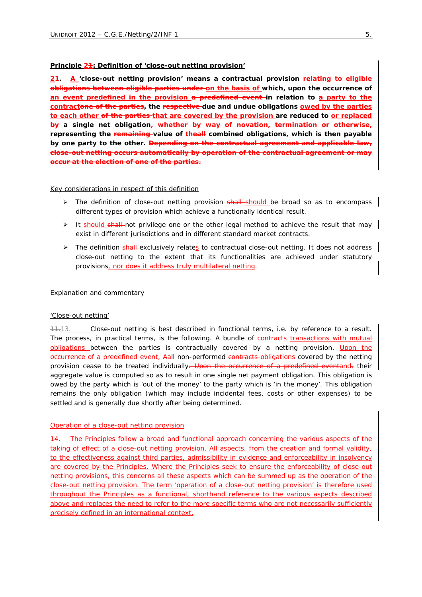#### **Principle 21: Definition of 'close-out netting provision'**

*21. A 'close-out netting provision' means a contractual provision relating to eligible obligations between eligible parties under on the basis of which, upon the occurrence of an event predefined in the provision a predefined event in relation to a party to the contractone of the parties, the respective due and undue obligations owed by the parties to each other of the parties that are covered by the provision are reduced to or replaced by a single net obligation, whether by way of novation, termination or otherwise, representing the remaining value of theall combined obligations, which is then payable by one party to the other. Depending on the contractual agreement and applicable law, close-out netting occurs automatically by operation of the contractual agreement or may occur at the election of one of the parties.*

#### Key considerations in respect of this definition

- ▶ The definition of close-out netting provision shall-should be broad so as to encompass | different types of provision which achieve a functionally identical result.
- $\triangleright$  It should shall not privilege one or the other legal method to achieve the result that may exist in different jurisdictions and in different standard market contracts.
- **EXECUTE:** The definition shall exclusively relates to contractual close-out netting. It does not address close-out netting to the extent that its functionalities are achieved under statutory provisions, nor does it address truly multilateral netting.

#### Explanation and commentary

## *'Close-out netting'*

11.13. Close-out netting is best described in functional terms, *i.e.* by reference to a result. The process, in practical terms, is the following. A bundle of contracts transactions with mutual obligations between the parties is contractually covered by a netting provision. Upon the occurrence of a predefined event, Aall non-performed contracts obligations covered by the netting provision cease to be treated individually. Upon the occurrence of a predefined eventand, their aggregate value is computed so as to result in one single net payment obligation. This obligation is owed by the party which is 'out of the money' to the party which is 'in the money'. This obligation remains the only obligation (which may include incidental fees, costs or other expenses) to be settled and is generally due shortly after being determined.

## *Operation of a close-out netting provision*

14. The Principles follow a broad and functional approach concerning the various aspects of the taking of effect of a close-out netting provision. All aspects, from the creation and formal validity, to the effectiveness against third parties, admissibility in evidence and enforceability in insolvency are covered by the Principles. Where the Principles seek to ensure the enforceability of close-out netting provisions, this concerns all these aspects which can be summed up as the operation of the close-out netting provision. The term 'operation of a close-out netting provision' is therefore used throughout the Principles as a functional, shorthand reference to the various aspects described above and replaces the need to refer to the more specific terms who are not necessarily sufficiently precisely defined in an international context.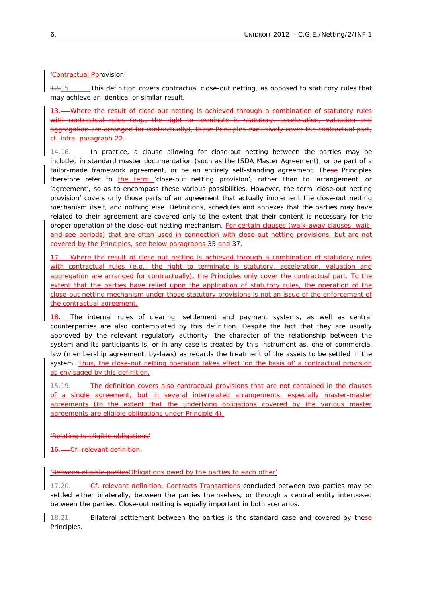# *'Contractual Pprovision'*

12.15. This definition covers contractual close-out netting, as opposed to statutory rules that may achieve an identical or similar result.

13. Where the result of close-out netting is achieved through a combination of statutory rules with contractual rules (*e.g.*, the right to terminate is statutory, acceleration, valuation and aggregation are arranged for contractually), these Principles exclusively cover the contractual part, *cf. infra*, *paragraph* 22.

14.16. In practice, a clause allowing for close-out netting between the parties may be included in standard master documentation (such as the ISDA Master Agreement), or be part of a tailor-made framework agreement, or be an entirely self-standing agreement. These Principles therefore refer to the term 'close-out netting provision', rather than to 'arrangement' or 'agreement', so as to encompass these various possibilities. However, the term 'close-out netting provision' covers only those parts of an agreement that actually implement the close-out netting mechanism itself, and nothing else. Definitions, schedules and annexes that the parties may have related to their agreement are covered only to the extent that their content is necessary for the proper operation of the close-out netting mechanism. For certain clauses (walk-away clauses, waitand-see periods) that are often used in connection with close-out netting provisions, but are not covered by the Principles, see below *paragraphs* 35 and 37.

17. Where the result of close-out netting is achieved through a combination of statutory rules with contractual rules (e.g., the right to terminate is statutory, acceleration, valuation and aggregation are arranged for contractually), the Principles only cover the contractual part. To the extent that the parties have relied upon the application of statutory rules, the operation of the close-out netting mechanism under those statutory provisions is not an issue of the enforcement of the contractual agreement.

18. The internal rules of clearing, settlement and payment systems, as well as central counterparties are also contemplated by this definition. Despite the fact that they are usually approved by the relevant regulatory authority, the character of the relationship between the system and its participants is, or in any case is treated by this instrument as, one of commercial law (membership agreement, by-laws) as regards the treatment of the assets to be settled in the system. Thus, the close-out netting operation takes effect 'on the basis of' a contractual provision as envisaged by this definition.

15.19. The definition covers also contractual provisions that are not contained in the clauses of a single agreement, but in several interrelated arrangements, especially master-master agreements (to the extent that the underlying obligations covered by the various master agreements are eligible obligations under *Principle 4*).

*'Relating to eligible obligations'*

16. *Cf.* relevant definition.

*'Between eligible partiesObligations owed by the parties to each other'*

17.20. *Cf.* relevant definition. Contracts Transactions concluded between two parties may be settled either bilaterally, between the parties themselves, or through a central entity interposed between the parties. Close-out netting is *equally important* in both scenarios.

18.21. Bilateral settlement between the parties is the standard case and covered by these Principles.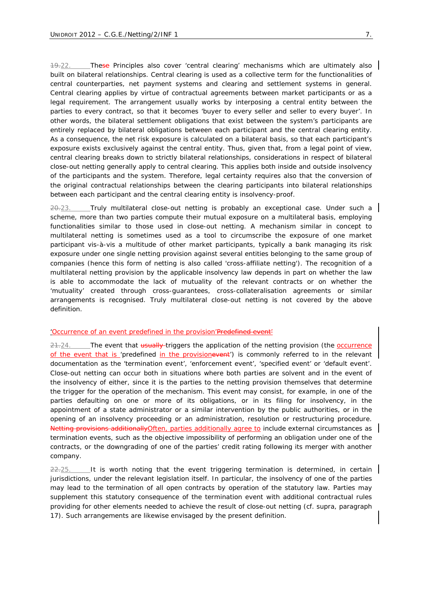19.22. These Principles also cover 'central clearing' mechanisms which are ultimately also built on bilateral relationships. Central clearing is used as a collective term for the functionalities of central counterparties, net payment systems and clearing and settlement systems in general. Central clearing applies by virtue of contractual agreements between market participants or as a legal requirement. The arrangement usually works by interposing a central entity between the parties to every contract, so that it becomes 'buyer to every seller and seller to every buyer'. In other words, the bilateral settlement obligations that exist between the system's participants are entirely replaced by bilateral obligations between each participant and the central clearing entity. As a consequence, the net risk exposure is calculated on a bilateral basis, so that each participant's exposure exists exclusively against the central entity. Thus, given that, from a legal point of view, central clearing breaks down to strictly bilateral relationships, considerations in respect of bilateral close-out netting generally apply to central clearing. This applies both inside and outside insolvency of the participants and the system. Therefore, legal certainty requires also that the conversion of the original contractual relationships between the clearing participants into bilateral relationships between each participant and the central clearing entity is insolvency-proof.

 $20.23$ . Truly multilateral close-out netting is probably an exceptional case. Under such a scheme, more than two parties compute their mutual exposure on a multilateral basis, employing functionalities similar to those used in close-out netting. A mechanism similar in concept to multilateral netting is sometimes used as a tool to circumscribe the exposure of one market participant *vis-à-vis* a multitude of other market participants, typically a bank managing its risk exposure under one single netting provision against several entities belonging to the same group of companies (hence this form of netting is also called 'cross-affiliate netting'). The recognition of a multilateral netting provision by the applicable insolvency law depends in part on whether the law is able to accommodate the lack of mutuality of the relevant contracts or on whether the 'mutuality' created through cross-guarantees, cross-collateralisation agreements or similar arrangements is recognised. Truly multilateral close-out netting is *not* covered by the above definition.

## *'Occurrence of an event predefined in the provision'Predefined event'*

21.24. The event that usually triggers the application of the netting provision (the occurrence of the event that is 'predefined in the provisionevent') is commonly referred to in the relevant documentation as the 'termination event', 'enforcement event', 'specified event' or 'default event'. Close-out netting can occur both in situations where both parties are solvent and in the event of the insolvency of either, since it is the parties to the netting provision themselves that determine the trigger for the operation of the mechanism. This event may consist, for example, in one of the parties defaulting on one or more of its obligations, or in its filing for insolvency, in the appointment of a state administrator or a similar intervention by the public authorities, or in the opening of an insolvency proceeding or an administration, resolution or restructuring procedure. Netting provisions additionallyOften, parties additionally agree to include external circumstances as termination events, such as the objective impossibility of performing an obligation under one of the contracts, or the downgrading of one of the parties' credit rating following its merger with another company.

 $22.25$ . It is worth noting that the event triggering termination is determined, in certain jurisdictions, under the relevant legislation itself. In particular, the insolvency of one of the parties may lead to the termination of all open contracts by operation of the statutory law. Parties may supplement this statutory consequence of the termination event with additional contractual rules providing for other elements needed to achieve the result of close-out netting (*cf. supra, paragraph* 17). Such arrangements are likewise envisaged by the present definition.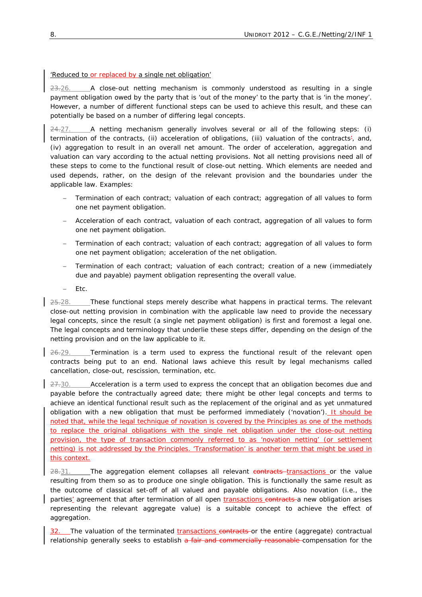## *'Reduced to or replaced by a single net obligation'*

 $23.26.$  A close-out netting mechanism is commonly understood as resulting in a single payment obligation owed by the party that is 'out of the money' to the party that is 'in the money'. However, a number of different functional steps can be used to achieve this result, and these can potentially be based on a number of differing legal concepts.

 $24-27$ . A netting mechanism generally involves several or all of the following steps: (i) termination of the contracts, (ii) acceleration of obligations, (iii) valuation of the contracts', and, (iv) aggregation to result in an overall net amount. The order of acceleration, aggregation and valuation can vary according to the actual netting provisions. Not all netting provisions need all of these steps to come to the functional result of close-out netting. Which elements are needed and used depends, rather, on the design of the relevant provision and the boundaries under the applicable law. Examples:

- − Termination of each contract; valuation of each contract; aggregation of all values to form one net payment obligation.
- − Acceleration of each contract, valuation of each contract, aggregation of all values to form one net payment obligation.
- − Termination of each contract; valuation of each contract; aggregation of all values to form one net payment obligation; acceleration of the net obligation.
- − Termination of each contract; valuation of each contract; creation of a new (immediately due and payable) payment obligation representing the overall value.
- − *Etc*.

25.28. These functional steps merely describe what happens in practical terms. The relevant close-out netting provision in combination with the applicable law need to provide the necessary legal concepts, since the result (a single net payment obligation) is first and foremost a legal one. The legal concepts and terminology that underlie these steps differ, depending on the design of the netting provision and on the law applicable to it.

26.29. Termination is a term used to express the functional result of the relevant open contracts being put to an end. National laws achieve this result by legal mechanisms called cancellation, close-out, rescission, termination, *etc.*

 $27.30.$  Acceleration is a term used to express the concept that an obligation becomes due and payable before the contractually agreed date; there might be other legal concepts and terms to achieve an identical functional result such as the replacement of the original and as yet unmatured obligation with a new obligation that must be performed immediately ('novation'). It should be noted that, while the legal technique of novation is covered by the Principles as one of the methods to replace the original obligations with the single net obligation under the close-out netting provision, the type of transaction commonly referred to as 'novation netting' (or settlement netting) is not addressed by the Principles. 'Transformation' is another term that might be used in this context.

28.31. The aggregation element collapses all relevant contracts transactions or the value resulting from them so as to produce one single obligation. This is functionally the same result as the outcome of classical set-off of all valued and payable obligations. Also novation (*i.e.*, the parties' agreement that after termination of all open transactions contracts a *new* obligation arises representing the relevant aggregate value) is a suitable concept to achieve the effect of aggregation.

The valuation of the terminated transactions contracts or the entire (aggregate) contractual relationship generally seeks to establish a fair and commercially reasonable compensation for the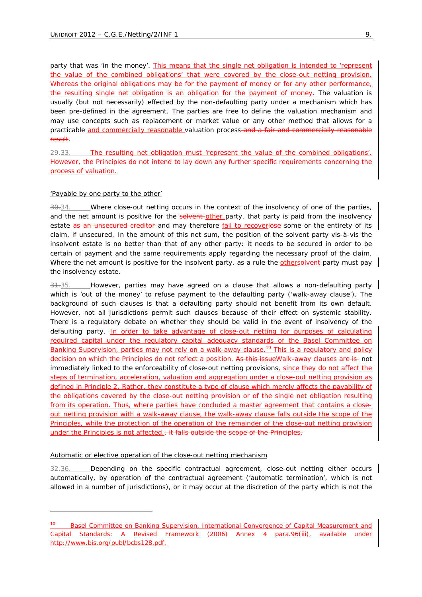party that was 'in the money'. This means that the single net obligation is intended to 'represent the value of the combined obligations' that were covered by the close-out netting provision. Whereas the original obligations may be for the payment of money or for any other performance, the resulting single net obligation is an obligation for the payment of money. The valuation is usually (but not necessarily) effected by the non-defaulting party under a mechanism which has been pre-defined in the agreement. The parties are free to define the valuation mechanism and may use concepts such as replacement or market value or any other method that allows for a practicable and commercially reasonable valuation process-and a fair and commercially reasonable result.

29.33. The resulting net obligation must 'represent the value of the combined obligations'. However, the Principles do not intend to lay down any further specific requirements concerning the process of valuation.

#### *'Payable by one party to the other'*

1

30.34. Where close-out netting occurs in the context of the insolvency of one of the parties, and the net amount is positive for the solvent-other party, that party is paid from the insolvency estate as an unsecured creditor and may therefore fail to recoverlose some or the entirety of its claim, if unsecured. In the amount of this net sum, the position of the solvent party *vis-à-vis* the insolvent estate is no better than that of any other party: it needs to be secured in order to be certain of payment and the same requirements apply regarding the necessary proof of the claim. Where the net amount is positive for the insolvent party, as a rule the othersolvent party must pay the insolvency estate.

31.35. However, parties may have agreed on a clause that allows a non-defaulting party which is 'out of the money' to refuse payment to the defaulting party ('walk-away clause'). The background of such clauses is that a defaulting party should not benefit from its own default. However, not all jurisdictions permit such clauses because of their effect on systemic stability. There is a regulatory debate on whether they should be valid in the event of insolvency of the defaulting party. In order to take advantage of close-out netting for purposes of calculating required capital under the regulatory capital adequacy standards of the *Basel Committee on Banking Supervision*, parties may not rely on a walk-away clause.<sup>10</sup> This is a regulatory and policy decision on which the Principles do not reflect a position. As this issue Walk-away clauses are is not immediately linked to the enforceability of close-out netting provisions, since they do not affect the steps of termination, acceleration, valuation and aggregation under a close-out netting provision as defined in *Principle 2*. Rather, they constitute a type of clause which merely affects the payability of the obligations covered by the close-out netting provision or of the single net obligation resulting from its operation. Thus, where parties have concluded a master agreement that contains a closeout netting provision with a walk-away clause, the walk-away clause falls outside the scope of the Principles, while the protection of the operation of the remainder of the close-out netting provision under the Principles is not affected., it falls outside the scope of the Principles.

#### *Automatic or elective operation of the close-out netting mechanism*

 $32.36.$  Depending on the specific contractual agreement, close-out netting either occurs automatically, by operation of the contractual agreement ('automatic termination', which is not allowed in a number of jurisdictions), or it may occur at the discretion of the party which is not the

<sup>10</sup> Basel Committee on Banking Supervision, International Convergence of Capital Measurement and Capital Standards: A Revised Framework (2006) Annex 4 para.96(iii), available under http://www.bis.org/publ/bcbs128.pdf.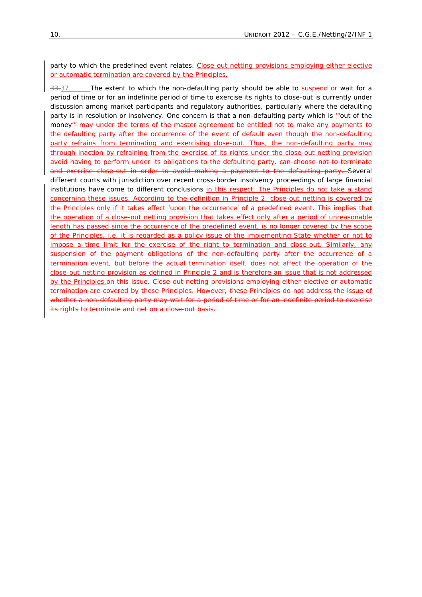party to which the predefined event relates. Close-out netting provisions employing either elective or automatic termination are covered by the Principles.

33.37. The extent to which the non-defaulting party should be able to suspend or wait for a period of time or for an indefinite period of time to exercise its rights to close-out is currently under discussion among market participants and regulatory authorities, particularly where the defaulting party is in resolution or insolvency. One concern is that a non-defaulting party which is "out of the money'" may under the terms of the master agreement be entitled not to make any payments to the defaulting party after the occurrence of the event of default even though the non-defaulting party refrains from terminating and exercising close-out. Thus, the non-defaulting party may through inaction by refraining from the exercise of its rights under the close-out netting provision avoid having to perform under its obligations to the defaulting party. ean choose not to terminate and exercise close-out in order to avoid making a payment to the defaulting party. Several different courts with jurisdiction over recent cross-border insolvency proceedings of large financial institutions have come to different conclusions in this respect. The Principles do not take a stand concerning these issues. According to the definition in *Principle 2*, close-out netting is covered by the Principles only if it takes effect 'upon the occurrence' of a predefined event. This implies that the operation of a close-out netting provision that takes effect only after a period of unreasonable length has passed since the occurrence of the predefined event, is no longer covered by the scope of the Principles, *i.e.* it is regarded as a policy issue of the implementing State whether or not to impose a time limit for the exercise of the right to termination and close-out. Similarly, any suspension of the payment obligations of the non-defaulting party after the occurrence of a termination event, but before the actual termination itself, does not affect the operation of the close-out netting provision as defined in *Principle 2* and is therefore an issue that is not addressed by the Principles.on this issue. Close-out netting provisions employing either elective or automatic termination are covered by these Principles. However, these Principles do not address the issue of whether a non-defaulting party may wait for a period of time or for an indefinite period to exercise its rights to terminate and net on a close-out basis.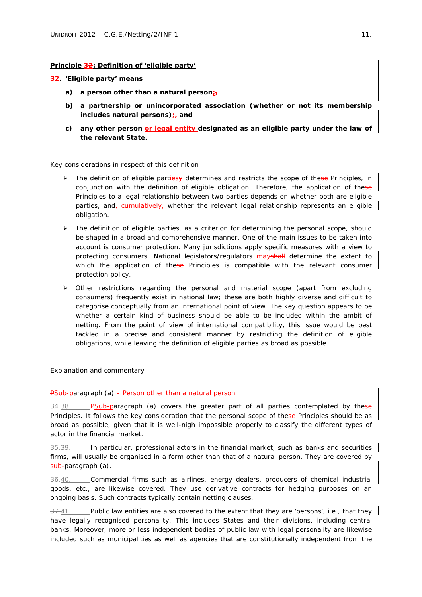# **Principle 32: Definition of 'eligible party'**

#### *32. 'Eligible party' means*

- *a) a person other than a natural person;,*
- *b) a partnership or unincorporated association (whether or not its membership includes natural persons);, and*
- *c) any other person or legal entity designated as an eligible party under the law of the relevant State.*

#### Key considerations in respect of this definition

- $\triangleright$  The definition of eligible parties y determines and restricts the scope of these Principles, in conjunction with the definition of eligible obligation. Therefore, the application of these Principles to a legal relationship between two parties depends on whether both are eligible parties, and, *cumulatively*, whether the relevant legal relationship represents an eligible obligation.
- $\triangleright$  The definition of eligible parties, as a criterion for determining the personal scope, should be shaped in a broad and comprehensive manner. One of the main issues to be taken into account is consumer protection. Many jurisdictions apply specific measures with a view to protecting consumers. National legislators/regulators mayshall determine the extent to which the application of these Principles is compatible with the relevant consumer protection policy.
- $\triangleright$  Other restrictions regarding the personal and material scope (apart from excluding consumers) frequently exist in national law; these are both highly diverse and difficult to categorise conceptually from an international point of view. The key question appears to be whether a certain kind of business should be able to be included within the ambit of netting. From the point of view of international compatibility, this issue would be best tackled in a precise and consistent manner by restricting the definition of eligible obligations, while leaving the definition of eligible parties as broad as possible.

## Explanation and commentary

## *PSub-paragraph (a) – Person other than a natural person*

34.38. *PSub-paragraph (a)* covers the greater part of all parties contemplated by these *Principles.* It follows the key consideration that the personal scope of these Principles should be as broad as possible, given that it is well-nigh impossible properly to classify the different types of actor in the financial market.

35.39. In particular, professional actors in the financial market, such as banks and securities firms, will usually be organised in a form other than that of a natural person. They are covered by *sub-paragraph (a)*.

36.40. Commercial firms such as airlines, energy dealers, producers of chemical industrial goods, *etc*., are likewise covered. They use derivative contracts for hedging purposes on an ongoing basis. Such contracts typically contain netting clauses.

37.41. Public law entities are also covered to the extent that they are 'persons', *i.e.*, that they have legally recognised personality. This includes States and their divisions, including central banks. Moreover, more or less independent bodies of public law with legal personality are likewise included such as municipalities as well as agencies that are constitutionally independent from the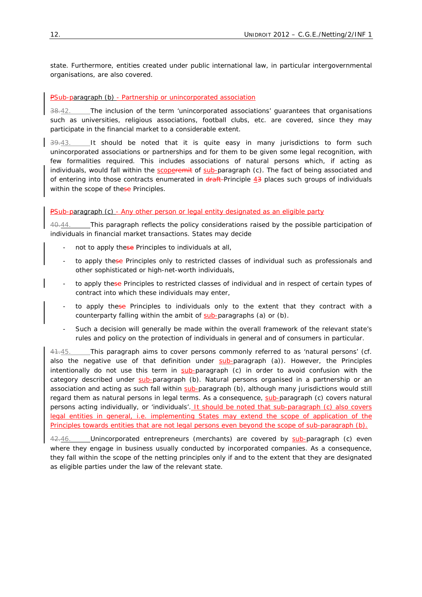state. Furthermore, entities created under public international law, in particular intergovernmental organisations, are also covered.

## *PSub-paragraph (b) - Partnership or unincorporated association*

38.42. The inclusion of the term 'unincorporated associations' guarantees that organisations such as universities, religious associations, football clubs, *etc*. are covered, since they may participate in the financial market to a considerable extent.

 $39.43.$  It should be noted that it is quite easy in many jurisdictions to form such unincorporated associations or partnerships and for them to be given some legal recognition, with few formalities required. This includes associations of natural persons which, if acting as individuals, would fall within the scoperemit of *sub-paragraph (c)*. The fact of being associated and of entering into those contracts enumerated in draft *Principle 4*3 places such groups of individuals within the scope of these Principles.

# *PSub-paragraph (c) - Any other person or legal entity designated as an eligible party*

40.44. This paragraph reflects the policy considerations raised by the possible participation of individuals in financial market transactions. States may decide

- not to apply these Principles to individuals at all,
- to apply these Principles only to restricted classes of individual such as professionals and other sophisticated or high-net-worth individuals,
- to apply these Principles to restricted classes of individual and in respect of certain types of contract into which these individuals may enter,
- to apply these Principles to individuals only to the extent that they contract with a counterparty falling within the ambit of *sub-paragraphs (a)* or *(b)*.
- Such a decision will generally be made within the overall framework of the relevant state's rules and policy on the protection of individuals in general and of consumers in particular.

41.45. This paragraph aims to cover persons commonly referred to as 'natural persons' (*cf.* also the negative use of that definition under *sub-paragraph (a)*). However, the Principles intentionally do not use this term in *sub-paragraph (c)* in order to avoid confusion with the category described under *sub-paragraph (b)*. Natural persons organised in a partnership or an association and acting as such fall within *sub-paragraph (b)*, although many jurisdictions would still regard them as natural persons in legal terms. As a consequence, *sub-paragraph (c)* covers natural persons acting individually, or 'individuals'. It should be noted that *sub-paragraph (c)* also covers legal entities in general, *i.e.* implementing States may extend the scope of application of the Principles towards entities that are not legal persons even beyond the scope of *sub-paragraph (b)*.

42.46. Unincorporated entrepreneurs (merchants) are covered by *sub-paragraph (c)* even where they engage in business usually conducted by incorporated companies. As a consequence, they fall within the scope of the netting principles only if and to the extent that they are designated as eligible parties under the law of the relevant state.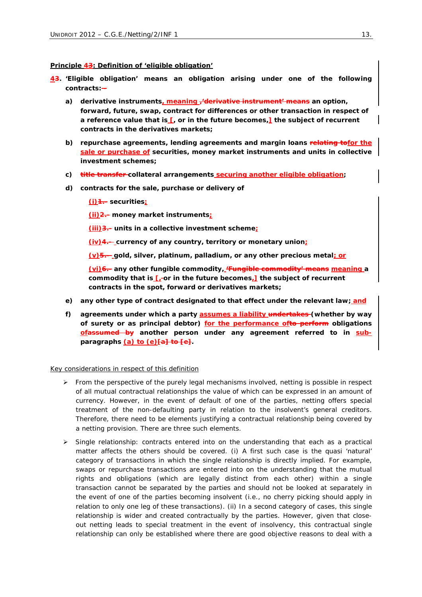#### **Principle 43: Definition of 'eligible obligation'**

- *43. 'Eligible obligation' means an obligation arising under one of the following contracts:* 
	- *a) derivative instruments, meaning ,'derivative instrument' means an option, forward, future, swap, contract for differences or other transaction in respect of a reference value that is [, or in the future becomes,] the subject of recurrent contracts in the derivatives markets;*
	- *b) repurchase agreements, lending agreements and margin loans relating tofor the sale or purchase of securities, money market instruments and units in collective investment schemes;*
	- *c) title transfer collateral arrangements securing another eligible obligation;*
	- *d) contracts for the sale, purchase or delivery of* 
		- *(i)1.- securities;*
		- *(ii)2.- money market instruments;*
		- *(iii)3.- units in a collective investment scheme;*
		- *(iv)4.- currency of any country, territory or monetary union;*
		- *(v)5.- gold, silver, platinum, palladium, or any other precious metal; or*

*(vi)6.- any other fungible commodity, 'Fungible commodity' means meaning a commodity that is [, or in the future becomes,] the subject of recurrent contracts in the spot, forward or derivatives markets;* 

- *e) any other type of contract designated to that effect under the relevant law; and*
- *f) agreements under which a party assumes a liability undertakes (whether by way of surety or as principal debtor) for the performance ofto perform obligations ofassumed by another person under any agreement referred to in subparagraphs (a) to (e)[a] to [e].*

#### Key considerations in respect of this definition

- $\triangleright$  From the perspective of the purely legal mechanisms involved, netting is possible in respect of all mutual contractual relationships the value of which can be expressed in an amount of currency. However, in the event of default of one of the parties, netting offers special treatment of the non-defaulting party in relation to the insolvent's general creditors. Therefore, there need to be elements justifying a contractual relationship being covered by a netting provision. There are three such elements.
- ¾ *Single relationship*: contracts entered into on the understanding that each as a practical matter affects the others should be covered. (i) A first such case is the quasi 'natural' category of transactions in which the single relationship is directly implied. For example, swaps or repurchase transactions are entered into on the understanding that the mutual rights and obligations (which are legally distinct from each other) within a single transaction cannot be separated by the parties and should not be looked at separately in the event of one of the parties becoming insolvent (*i.e.*, no cherry picking should apply in relation to only one leg of these transactions). (ii) In a second category of cases, this single relationship is wider and created contractually by the parties. However, given that closeout netting leads to special treatment in the event of insolvency, this contractual single relationship can only be established where there are good objective reasons to deal with a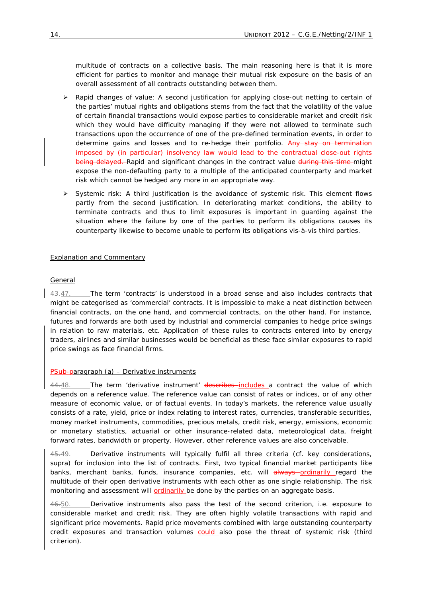multitude of contracts on a collective basis. The main reasoning here is that it is more efficient for parties to monitor and manage their mutual risk exposure on the basis of an overall assessment of all contracts outstanding between them.

- ¾ *Rapid changes of value*: A second justification for applying close-out netting to certain of the parties' mutual rights and obligations stems from the fact that the volatility of the value of certain financial transactions would expose parties to considerable market and credit risk which they would have difficulty managing if they were not allowed to terminate such transactions upon the occurrence of one of the pre-defined termination events, in order to determine gains and losses and to re-hedge their portfolio. Any stay on termination imposed by (in particular) insolvency law would lead to the contractual close-out rights being delayed. Rapid and significant changes in the contract value during this time-might expose the non-defaulting party to a multiple of the anticipated counterparty and market risk which cannot be hedged any more in an appropriate way.
- ¾ *Systemic risk*: A third justification is the avoidance of systemic risk. This element flows partly from the second justification. In deteriorating market conditions, the ability to terminate contracts and thus to limit exposures is important in guarding against the situation where the failure by one of the parties to perform its obligations causes its counterparty likewise to become unable to perform its obligations *vis-à-vis* third parties.

## Explanation and Commentary

## *General*

43.47. The term 'contracts' is understood in a broad sense and also includes contracts that might be categorised as 'commercial' contracts. It is impossible to make a neat distinction between financial contracts, on the one hand, and commercial contracts, on the other hand. For instance, futures and forwards are both used by industrial and commercial companies to hedge price swings in relation to raw materials, *etc*. Application of these rules to contracts entered into by energy traders, airlines and similar businesses would be beneficial as these face similar exposures to rapid price swings as face financial firms.

## *PSub-paragraph (a) – Derivative instruments*

44.48. The term 'derivative instrument' describes includes a contract the value of which depends on a reference value. The reference value can consist of rates or indices, or of any other measure of economic value, or of factual events. In today's markets, the reference value usually consists of a rate, yield, price or index relating to interest rates, currencies, transferable securities, money market instruments, commodities, precious metals, credit risk, energy, emissions, economic or monetary statistics, actuarial or other insurance-related data, meteorological data, freight forward rates, bandwidth or property. However, other reference values are also conceivable.

45.49. Derivative instruments will typically fulfil all three criteria (*cf.* key considerations, *supra*) for inclusion into the list of contracts. First, two typical financial market participants like banks, merchant banks, funds, insurance companies, *etc.* will always ordinarily regard the multitude of their open derivative instruments with each other as one single relationship. The risk monitoring and assessment will **ordinarily** be done by the parties on an aggregate basis.

46.50. Derivative instruments also pass the test of the second criterion, *i.e.* exposure to considerable market and credit risk. They are often highly volatile transactions with rapid and significant price movements. Rapid price movements combined with large outstanding counterparty credit exposures and transaction volumes could also pose the threat of systemic risk (third criterion).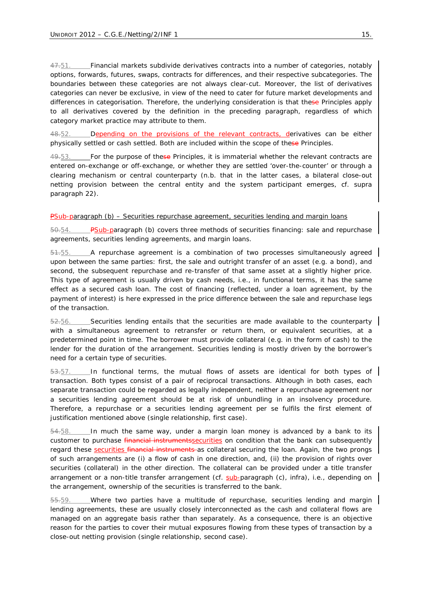47.51. Financial markets subdivide derivatives contracts into a number of categories, notably options, forwards, futures, swaps, contracts for differences, and their respective subcategories. The boundaries between these categories are not always clear-cut. Moreover, the list of derivatives categories can never be exclusive, in view of the need to cater for future market developments and differences in categorisation. Therefore, the underlying consideration is that these Principles apply to all derivatives covered by the definition in the preceding paragraph, regardless of which category market practice may attribute to them.

48.52. Depending on the provisions of the relevant contracts, derivatives can be either physically settled or cash settled. Both are included within the scope of these Principles.

 $49.53.$  For the purpose of these Principles, it is immaterial whether the relevant contracts are entered on-exchange or off-exchange, or whether they are settled 'over-the-counter' or through a clearing mechanism or central counterparty (*n.b.* that in the latter cases, a bilateral close-out netting provision between the central entity and the system participant emerges, *cf. supra paragraph* 22).

## *PSub-paragraph (b) – Securities repurchase agreement, securities lending and margin loans*

50.54. *PSub-paragraph (b)* covers three methods of securities financing: sale and repurchase agreements, securities lending agreements, and margin loans.

51.55. A repurchase agreement is a combination of two processes simultaneously agreed upon between the same parties: first, the sale and outright transfer of an asset (*e.g.* a bond), and second, the subsequent repurchase and re-transfer of that same asset at a slightly higher price. This type of agreement is usually driven by cash needs, *i.e.*, in functional terms, it has the same effect as a secured cash loan. The cost of financing (reflected, under a loan agreement, by the payment of interest) is here expressed in the price difference between the sale and repurchase legs of the transaction.

52.56. Securities lending entails that the securities are made available to the counterparty with a simultaneous agreement to retransfer or return them, or equivalent securities, at a predetermined point in time. The borrower must provide collateral (*e.g.* in the form of cash) to the lender for the duration of the arrangement. Securities lending is mostly driven by the borrower's need for a certain type of securities.

 $53.57.$  In functional terms, the mutual flows of assets are identical for both types of transaction. Both types consist of a pair of reciprocal transactions. Although in both cases, each separate transaction could be regarded as legally independent, neither a repurchase agreement nor a securities lending agreement should be at risk of unbundling in an insolvency procedure. Therefore, a repurchase or a securities lending agreement *per se* fulfils the first element of justification mentioned above (single relationship, first case).

54.58. In much the same way, under a margin loan money is advanced by a bank to its customer to purchase *financial instruments* securities on condition that the bank can subsequently regard these **securities financial instruments** as collateral securing the loan. Again, the two prongs of such arrangements are (i) a flow of cash in one direction, and, (ii) the provision of rights over securities (collateral) in the other direction. The collateral can be provided under a title transfer arrangement or a non-title transfer arrangement (*cf. sub-paragraph (c), infra*), *i.e.*, depending on the arrangement, ownership of the securities is transferred to the bank.

55.59. Where two parties have a multitude of repurchase, securities lending and margin lending agreements, these are usually closely interconnected as the cash and collateral flows are managed on an aggregate basis rather than separately. As a consequence, there is an objective reason for the parties to cover their mutual exposures flowing from these types of transaction by a close-out netting provision (single relationship, second case).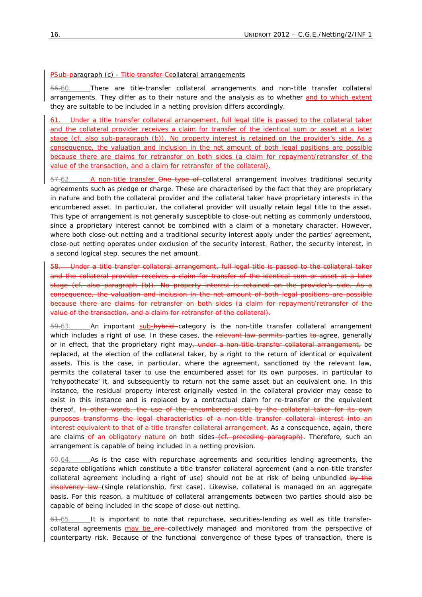#### *PSub-paragraph (c) - Title transfer Ccollateral arrangements*

56.60. There are title-transfer collateral arrangements and non-title transfer collateral arrangements. They differ as to their nature and the analysis as to whether and to which extent they are suitable to be included in a netting provision differs accordingly.

61. Under a title transfer collateral arrangement, full legal title is passed to the collateral taker and the collateral provider receives a claim for transfer of the identical sum or asset at a later stage (*cf.* also *sub-paragraph (b)*). No property interest is retained on the provider's side. As a consequence, the valuation and inclusion in the net amount of both legal positions are possible because there are claims for retransfer on both sides (a claim for repayment/retransfer of the value of the transaction, and a claim for retransfer of the collateral).

57.62. A non-title transfer One type of collateral arrangement involves traditional security agreements such as pledge or charge. These are characterised by the fact that they are proprietary in nature and both the collateral provider and the collateral taker have proprietary interests in the encumbered asset. In particular, the collateral provider will usually retain legal title to the asset. This type of arrangement is not generally susceptible to close-out netting as commonly understood, since a proprietary interest cannot be combined with a claim of a monetary character. However, where both close-out netting and a traditional security interest apply under the parties' agreement, close-out netting operates under exclusion of the security interest. Rather, the security interest, in a second logical step, secures the net amount.

Under a title transfer collateral arrangement, full legal title is passed to the collateral taker and the collateral provider receives a claim for transfer of the identical sum or asset at a later stage (*cf.* also *paragraph (b)*). No property interest is retained on the provider's side. As a consequence, the valuation and inclusion in the net amount of both legal positions are possible because there are claims for retransfer on both sides (a claim for repayment/retransfer of the value of the transaction, and a claim for retransfer of the collateral).

59.63. An important sub-hybrid category is the non-title transfer collateral arrangement which includes a right of use. In these cases, the relevant law permits parties to agree, generally or in effect, that the proprietary right may, under a non-title transfer collateral arrangement, be replaced, at the election of the collateral taker, by a right to the return of identical or equivalent assets. This is the case, in particular, where the agreement, sanctioned by the relevant law, permits the collateral taker to use the encumbered asset for its own purposes, in particular to 'rehypothecate' it, and subsequently to return not the *same* asset but an *equivalent* one. In this instance, the residual property interest originally vested in the collateral provider may cease to exist in this instance and is replaced by a contractual claim for re-transfer or the equivalent thereof. In other words, the use of the encumbered asset by the collateral taker for its own purposes transforms the legal characteristics of a non-title transfer collateral interest into an interest equivalent to that of a title transfer collateral arrangement. As a consequence, again, there are claims of an obligatory nature on both sides (*cf.* preceding paragraph). Therefore, such an arrangement is capable of being included in a netting provision.

 $60.64.$  As is the case with repurchase agreements and securities lending agreements, the separate obligations which constitute a title transfer collateral agreement (and a non-title transfer collateral agreement including a right of use) should not be at risk of being unbundled by the insolvency law (single relationship, first case). Likewise, collateral is managed on an aggregate basis. For this reason, a multitude of collateral arrangements between two parties should also be capable of being included in the scope of close-out netting.

 $61.65$ . It is important to note that repurchase, securities-lending as well as title transfercollateral agreements may be are collectively managed and monitored from the perspective of counterparty risk. Because of the functional convergence of these types of transaction, there is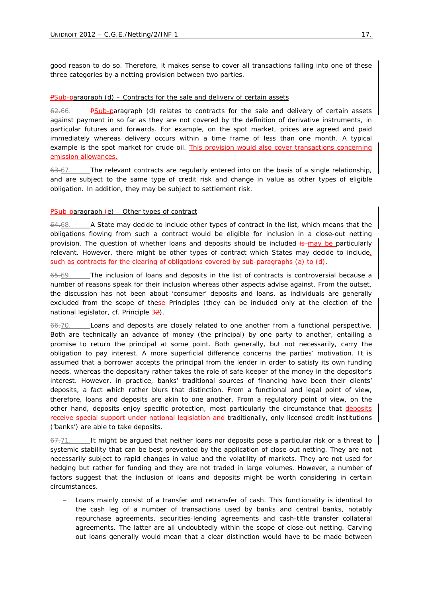good reason to do so. Therefore, it makes sense to cover all transactions falling into one of these three categories by a netting provision between two parties.

#### *PSub-paragraph (d) – Contracts for the sale and delivery of certain assets*

*PSub-paragraph (d)* relates to contracts for the sale and delivery of certain assets against payment in so far as they are not covered by the definition of derivative instruments, in particular futures and forwards. For example, on the spot market, prices are agreed and paid immediately whereas delivery occurs within a time frame of less than one month. A typical example is the spot market for crude oil. This provision would also cover transactions concerning emission allowances.

 $63.67.$  The relevant contracts are regularly entered into on the basis of a single relationship, and are subject to the same type of credit risk and change in value as other types of eligible obligation. In addition, they may be subject to settlement risk.

#### *PSub-paragraph (e) – Other types of contract*

 $64.68.$  A State may decide to include other types of contract in the list, which means that the obligations flowing from such a contract would be eligible for inclusion in a close-out netting provision. The question of whether loans and deposits should be included is may be particularly relevant. However, there might be other types of contract which States may decide to include, such as contracts for the clearing of obligations covered by *sub-paragraphs* (a) to (d).

65.69. The inclusion of loans and deposits in the list of contracts is controversial because a number of reasons speak for their inclusion whereas other aspects advise against. From the outset, the discussion has not been about 'consumer' deposits and loans, as individuals are generally excluded from the scope of these Principles (they can be included only at the election of the national legislator, *cf*. *Principle 32*).

66.70. Loans and deposits are closely related to one another from a functional perspective. Both are technically an advance of money (the principal) by one party to another, entailing a promise to return the principal at some point. Both generally, but not necessarily, carry the obligation to pay interest. A more superficial difference concerns the parties' motivation. It is assumed that a borrower accepts the principal from the lender in order to satisfy its own funding needs, whereas the depositary rather takes the role of safe-keeper of the money in the depositor's interest. However, in practice, banks' traditional sources of financing have been their clients' deposits, a fact which rather blurs that distinction. From a functional and legal point of view, therefore, loans and deposits are akin to one another. From a regulatory point of view, on the other hand, deposits enjoy specific protection, most particularly the circumstance that deposits receive special support under national legislation and traditionally, only licensed credit institutions ('banks') are able to take deposits.

 $67.71.$  It might be argued that neither loans nor deposits pose a particular risk or a threat to systemic stability that can be best prevented by the application of close-out netting. They are not necessarily subject to rapid changes in value and the volatility of markets. They are not used for hedging but rather for funding and they are not traded in large volumes. However, a number of factors suggest that the inclusion of loans and deposits might be worth considering in certain circumstances.

Loans mainly consist of a transfer and retransfer of cash. This functionality is identical to the cash leg of a number of transactions used by banks and central banks, notably repurchase agreements, securities-lending agreements and cash-title transfer collateral agreements. The latter are all undoubtedly within the scope of close-out netting. Carving out loans generally would mean that a clear distinction would have to be made between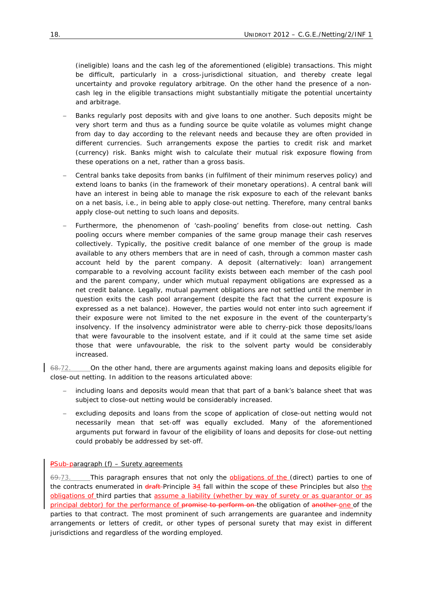(ineligible) loans and the cash leg of the aforementioned (eligible) transactions. This might be difficult, particularly in a cross-jurisdictional situation, and thereby create legal uncertainty and provoke regulatory arbitrage. On the other hand the presence of a noncash leg in the eligible transactions might substantially mitigate the potential uncertainty and arbitrage.

- Banks regularly post deposits with and give loans to one another. Such deposits might be very short term and thus as a funding source be quite volatile as volumes might change from day to day according to the relevant needs and because they are often provided in different currencies. Such arrangements expose the parties to credit risk and market (currency) risk. Banks might wish to calculate their mutual risk exposure flowing from these operations on a net, rather than a gross basis.
- − Central banks take deposits from banks (in fulfilment of their minimum reserves policy) and extend loans to banks (in the framework of their monetary operations). A central bank will have an interest in being able to manage the risk exposure to each of the relevant banks on a net basis, *i.e.*, in being able to apply close-out netting. Therefore, many central banks apply close-out netting to such loans and deposits.
- Furthermore, the phenomenon of 'cash-pooling' benefits from close-out netting. Cash pooling occurs where member companies of the same group manage their cash reserves collectively. Typically, the positive credit balance of one member of the group is made available to any others members that are in need of cash, through a common master cash account held by the parent company. A deposit (alternatively: loan) arrangement comparable to a revolving account facility exists between each member of the cash pool and the parent company, under which mutual repayment obligations are expressed as a net credit balance. Legally, mutual payment obligations are not settled until the member in question exits the cash pool arrangement (despite the fact that the current exposure is expressed as a net balance). However, the parties would not enter into such agreement if their exposure were not limited to the net exposure in the event of the counterparty's insolvency. If the insolvency administrator were able to cherry-pick those deposits/loans that were favourable to the insolvent estate, and if it could at the same time set aside those that were unfavourable, the risk to the solvent party would be considerably increased.

68.72. On the other hand, there are arguments against making loans and deposits eligible for close-out netting. In addition to the reasons articulated above:

- including loans and deposits would mean that that part of a bank's balance sheet that was subject to close-out netting would be considerably increased.
- excluding deposits and loans from the scope of application of close-out netting would not necessarily mean that set-off was equally excluded. Many of the aforementioned arguments put forward in favour of the eligibility of loans and deposits for close-out netting could probably be addressed by set-off.

## *PSub-paragraph (f) – Surety agreements*

 $69.73$ . This paragraph ensures that not only the obligations of the (direct) parties to one of the contracts enumerated in draft *Principle 34* fall within the scope of these Principles but also the obligations of third parties that assume a liability (whether by way of surety or as guarantor or as principal debtor) for the performance of promise to perform on the obligation of another one of the parties to that contract. The most prominent of such arrangements are guarantee and indemnity arrangements or letters of credit, or other types of personal surety that may exist in different jurisdictions and regardless of the wording employed.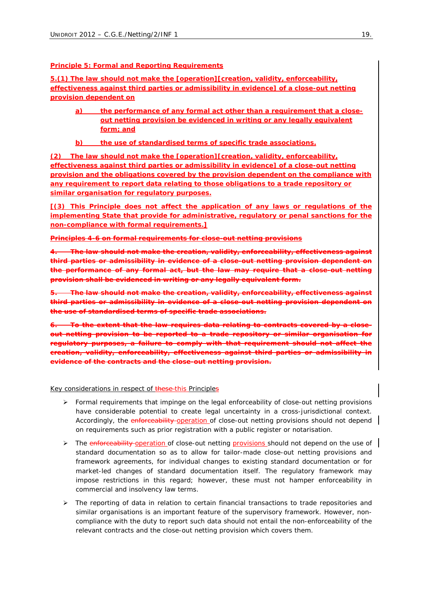#### **Principle 5: Formal and Reporting Requirements**

*5.(1) The law should not make the [operation][creation, validity, enforceability, effectiveness against third parties or admissibility in evidence] of a close-out netting provision dependent on* 

- *a) the performance of any formal act other than a requirement that a closeout netting provision be evidenced in writing or any legally equivalent form; and*
- *b) the use of standardised terms of specific trade associations.*

*(2) The law should not make the [operation][creation, validity, enforceability, effectiveness against third parties or admissibility in evidence] of a close-out netting provision and the obligations covered by the provision dependent on the compliance with any requirement to report data relating to those obligations to a trade repository or similar organisation for regulatory purposes.*

*[(3) This Principle does not affect the application of any laws or regulations of the implementing State that provide for administrative, regulatory or penal sanctions for the non-compliance with formal requirements.]*

#### **Principles 4-6 on formal requirements for close-out netting provisions**

*4. The law should not make the creation, validity, enforceability, effectiveness against third parties or admissibility in evidence of a close-out netting provision dependent on the performance of any formal act, but the law may require that a close-out netting provision shall be evidenced in writing or any legally equivalent form.*

*5. The law should not make the creation, validity, enforceability, effectiveness against third parties or admissibility in evidence of a close-out netting provision dependent the use of standardised terms of specific trade associations.*

*6. To the extent that the law requires data relating to contracts covered by a closeout netting provision to be reported to a trade repository or similar organisation for regulatory purposes, a failure to comply with that requirement should not affect the creation, validity, enforceability, effectiveness against third parties or admissibility in evidence of the contracts and the close-out netting provision.*

#### Key considerations in respect of these-this Principles

- $\triangleright$  Formal requirements that impinge on the legal enforceability of close-out netting provisions have considerable potential to create legal uncertainty in a cross-jurisdictional context. Accordingly, the enforceability operation of close-out netting provisions should not depend on requirements such as prior registration with a public register or notarisation.
- ▶ The enforceability-operation of close-out netting provisions should not depend on the use of standard documentation so as to allow for tailor-made close-out netting provisions and framework agreements, for individual changes to existing standard documentation or for market-led changes of standard documentation itself. The regulatory framework may impose restrictions in this regard; however, these must not hamper enforceability in commercial and insolvency law terms.
- $\triangleright$  The reporting of data in relation to certain financial transactions to trade repositories and similar organisations is an important feature of the supervisory framework. However, noncompliance with the duty to report such data should not entail the non-enforceability of the relevant contracts and the close-out netting provision which covers them.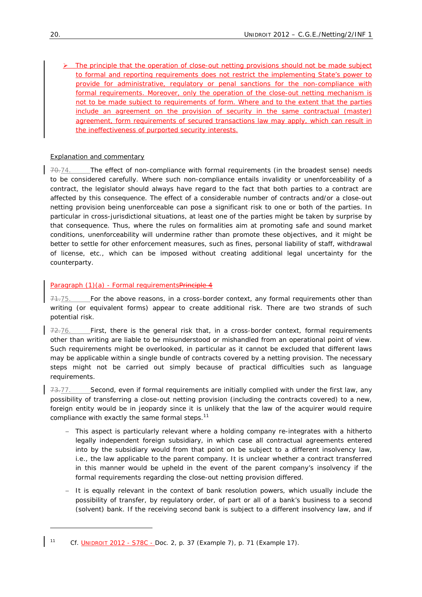The principle that the operation of close-out netting provisions should not be made subject to formal and reporting requirements does not restrict the implementing State's power to provide for administrative, regulatory or penal sanctions for the non-compliance with formal requirements. Moreover, only the operation of the close-out netting mechanism is not to be made subject to requirements of form. Where and to the extent that the parties include an agreement on the provision of security in the same contractual (master) agreement, form requirements of secured transactions law may apply, which can result in the ineffectiveness of purported security interests.

# Explanation and commentary

70.74. The effect of non-compliance with formal requirements (in the broadest sense) needs to be considered carefully. Where such non-compliance entails invalidity or unenforceability of a contract, the legislator should always have regard to the fact that *both* parties to a contract are affected by this consequence. The effect of a considerable number of contracts and/or a close-out netting provision being unenforceable can pose a significant risk to one or both of the parties. In particular in cross-jurisdictional situations, at least one of the parties might be taken by surprise by that consequence. Thus, where the rules on formalities aim at promoting safe and sound market conditions, unenforceability will undermine rather than promote these objectives, and it might be better to settle for other enforcement measures, such as fines, personal liability of staff, withdrawal of license, *etc.*, which can be imposed without creating additional legal uncertainty for the counterparty.

# *Paragraph (1)(a) - Formal requirementsPrinciple 4*

71.75. For the above reasons, in a cross-border context, any formal requirements other than writing (or equivalent forms) appear to create additional risk. There are two strands of such potential risk.

 $72.76.$  First, there is the general risk that, in a cross-border context, formal requirements other than writing are liable to be misunderstood or mishandled from an operational point of view. Such requirements might be overlooked, in particular as it cannot be excluded that different laws may be applicable within a single bundle of contracts covered by a netting provision. The necessary steps might not be carried out simply because of practical difficulties such as language requirements.

73.77. Second, even if formal requirements are initially complied with under the first law, any possibility of transferring a close-out netting provision (including the contracts covered) to a new, foreign entity would be in jeopardy since it is unlikely that the law of the acquirer would require compliance with exactly the same formal steps. $11$ 

- − This aspect is particularly relevant where a holding company re-integrates with a hitherto legally independent foreign subsidiary, in which case all contractual agreements entered into by the subsidiary would from that point on be subject to a different insolvency law, *i.e.*, the law applicable to the parent company. It is unclear whether a contract transferred in this manner would be upheld in the event of the parent company's insolvency if the formal requirements regarding the close-out netting provision differed.
- − It is equally relevant in the context of bank resolution powers, which usually include the possibility of transfer, by regulatory order, of part or all of a bank's business to a second (solvent) bank. If the receiving second bank is subject to a different insolvency law, and if

<sup>11</sup> *Cf.* UNIDROIT 2012 - S78C - Doc. 2, p. 37 (Example 7), p. 71 (Example 17)*.*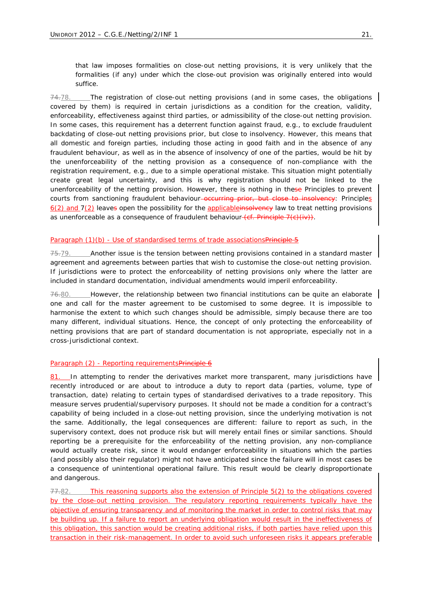that law imposes formalities on close-out netting provisions, it is very unlikely that the formalities (if any) under which the close-out provision was originally entered into would suffice.

 $74.78$ . The registration of close-out netting provisions (and in some cases, the obligations covered by them) is required in certain jurisdictions as a condition for the creation, validity, enforceability, effectiveness against third parties, or admissibility of the close-out netting provision. In some cases, this requirement has a deterrent function against fraud, *e.g.*, to exclude fraudulent backdating of close-out netting provisions prior, but close to insolvency. However, this means that all domestic and foreign parties, including those acting in good faith and in the absence of any fraudulent behaviour, as well as in the absence of insolvency of one of the parties, would be hit by the unenforceability of the netting provision as a consequence of non-compliance with the registration requirement, *e.g.*, due to a simple operational mistake. This situation might potentially create great legal uncertainty, and this is why registration should not be linked to the unenforceability of the netting provision. However, there is nothing in these Principles to prevent courts from sanctioning fraudulent behaviour<del>-occurring prior, but close to insolvency</del>: *Principles 6(2) and 7(2)* leaves open the possibility for the applicableinsolvency law to treat netting provisions as unenforceable as a consequence of fraudulent behaviour (*cf*. *Principle 7(*c)(iv)).

## *Paragraph (1)(b) - Use of standardised terms of trade associationsPrinciple 5*

75.79. Another issue is the tension between netting provisions contained in a standard master agreement and agreements between parties that wish to customise the close-out netting provision. If jurisdictions were to protect the enforceability of netting provisions only where the latter are included in standard documentation, individual amendments would imperil enforceability.

 $76.80.$  However, the relationship between two financial institutions can be quite an elaborate one and call for the master agreement to be customised to some degree. It is impossible to harmonise the extent to which such changes should be admissible, simply because there are too many different, individual situations. Hence, the concept of only protecting the enforceability of netting provisions that are part of standard documentation is not appropriate, especially not in a cross-jurisdictional context.

## *Paragraph (2) - Reporting requirementsPrinciple 6*

81. In attempting to render the derivatives market more transparent, many jurisdictions have recently introduced or are about to introduce a duty to report data (parties, volume, type of transaction, date) relating to certain types of standardised derivatives to a trade repository. This measure serves prudential/supervisory purposes. It should not be made a condition for a contract's capability of being included in a close-out netting provision, since the underlying motivation is not the same. Additionally, the legal consequences are different: failure to report as such, in the supervisory context, does not produce risk but will merely entail fines or similar sanctions. Should reporting be a prerequisite for the enforceability of the netting provision, any non-compliance would actually *create* risk, since it would endanger enforceability in situations which the parties (and possibly also their regulator) might not have anticipated since the failure will in most cases be a consequence of unintentional operational failure. This result would be clearly disproportionate and dangerous.

77.82. This reasoning supports also the extension of *Principle 5(2)* to the obligations covered by the close-out netting provision. The regulatory reporting requirements typically have the objective of ensuring transparency and of monitoring the market in order to control risks that may be building up. If a failure to report an underlying obligation would result in the ineffectiveness of this obligation, this sanction would be creating additional risks, if both parties have relied upon this transaction in their risk-management. In order to avoid such unforeseen risks it appears preferable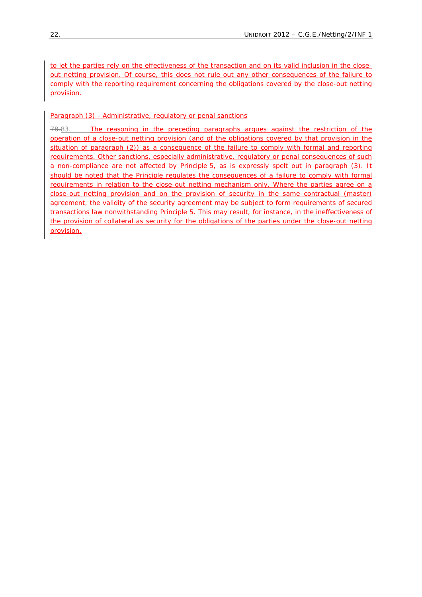to let the parties rely on the effectiveness of the transaction and on its valid inclusion in the closeout netting provision. Of course, this does not rule out any other consequences of the failure to comply with the reporting requirement concerning the obligations covered by the close-out netting provision.

# *Paragraph (3) - Administrative, regulatory or penal sanctions*

78.83. The reasoning in the preceding paragraphs argues against the restriction of the operation of a close-out netting provision (and of the obligations covered by that provision in the situation of *paragraph (2)*) as a consequence of the failure to comply with formal and reporting requirements. Other sanctions, especially administrative, regulatory or penal consequences of such a non-compliance are not affected by *Principle 5*, as is expressly spelt out in *paragraph (3)*. It should be noted that the Principle regulates the consequences of a failure to comply with formal requirements in relation to the close-out netting mechanism only. Where the parties agree on a close-out netting provision and on the provision of security in the same contractual (master) agreement, the validity of the security agreement may be subject to form requirements of secured transactions law nonwithstanding *Principle 5*. This may result, for instance, in the ineffectiveness of the provision of collateral as security for the obligations of the parties under the close-out netting provision.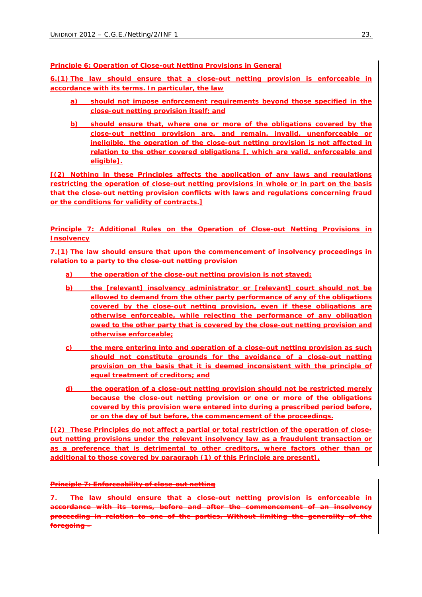**Principle 6: Operation of Close-out Netting Provisions in General**

*6.(1) The law should ensure that a close-out netting provision is enforceable in accordance with its terms. In particular, the law*

- *a) should not impose enforcement requirements beyond those specified in the close-out netting provision itself; and*
- *b) should ensure that, where one or more of the obligations covered by the close-out netting provision are, and remain, invalid, unenforceable or ineligible, the operation of the close-out netting provision is not affected in relation to the other covered obligations [, which are valid, enforceable and eligible].*

*[(2) Nothing in these Principles affects the application of any laws and regulations restricting the operation of close-out netting provisions in whole or in part on the basis that the close-out netting provision conflicts with laws and regulations concerning fraud or the conditions for validity of contracts.]*

**Principle 7: Additional Rules on the Operation of Close-out Netting Provisions in Insolvency**

*7.(1) The law should ensure that upon the commencement of insolvency proceedings in relation to a party to the close-out netting provision*

- *a) the operation of the close-out netting provision is not stayed;*
- *b) the [relevant] insolvency administrator or [relevant] court should not be allowed to demand from the other party performance of any of the obligations covered by the close-out netting provision, even if these obligations are otherwise enforceable, while rejecting the performance of any obligation owed to the other party that is covered by the close-out netting provision and otherwise enforceable;*
- *c) the mere entering into and operation of a close-out netting provision as such should not constitute grounds for the avoidance of a close-out netting provision on the basis that it is deemed inconsistent with the principle of equal treatment of creditors; and*
- *d) the operation of a close-out netting provision should not be restricted merely because the close-out netting provision or one or more of the obligations covered by this provision were entered into during a prescribed period before, or on the day of but before, the commencement of the proceedings.*

*[(2) These Principles do not affect a partial or total restriction of the operation of closeout netting provisions under the relevant insolvency law as a fraudulent transaction or as a preference that is detrimental to other creditors, where factors other than or additional to those covered by paragraph (1) of this Principle are present].*

## **Principle 7: Enforceability of close-out netting**

*7. The law should ensure that a close-out netting provision is enforceable in accordance with its terms, before and after the commencement of an insolvency proceeding in relation to one of the parties. Without limiting the generality of the foregoing –*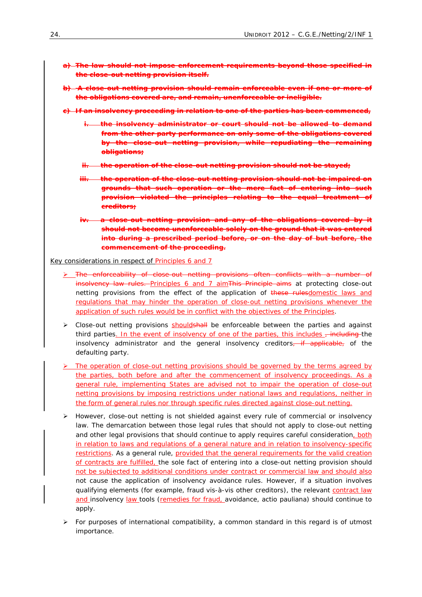- *a) The law should not impose enforcement requirements beyond those specified in the close-out netting provision itself.*
- *b) A close-out netting provision should remain enforceable even if one or more of the obligations covered are, and remain, unenforceable or ineligible.*
- *c) If an insolvency proceeding in relation to one of the parties has been commenced,* 
	- *i. the insolvency administrator or court should not be allowed to demand from the other party performance on only some of the obligations covered by the close-out netting provision, while repudiating the remaining obligations;*
	- *ii. the operation of the close-out netting provision should not be stayed;*
	- *iii. the operation of the close-out netting provision should not be impaired on grounds that such operation or the mere fact of entering into such provision violated the principles relating to the equal treatment creditors;*
	- *iv. a close-out netting provision and any of the obligations covered by it should not become unenforceable solely on the ground that it was entered into during a prescribed period before, or on the day of but before, the commencement of the proceeding.*

Key considerations in respect of Principles 6 and 7

- ¾ The enforceability of close-out netting provisions often conflicts with a number of insolvency law rules. *Principles 6 and 7* aim This Principle aims at protecting close-out netting provisions from the effect of the application of these rulesdomestic laws and regulations that may hinder the operation of close-out netting provisions whenever the application of such rules would be in conflict with the objectives of the Principles.
- > Close-out netting provisions shouldshall be enforceable between the parties and against third parties. In the event of insolvency of one of the parties, this includes  $\frac{1}{1}$  including the insolvency administrator and the general insolvency creditors, if applicable, of the defaulting party.
- The operation of close-out netting provisions should be governed by the terms agreed by the parties, both before and after the commencement of insolvency proceedings. As a general rule, implementing States are advised not to impair the operation of close-out netting provisions by imposing restrictions under national laws and regulations, neither in the form of general rules nor through specific rules directed against close-out netting.
- ¾ However, close-out netting is not shielded against *every* rule of commercial or insolvency law. The demarcation between those legal rules that should not apply to close-out netting and other legal provisions that should continue to apply requires careful consideration, both in relation to laws and regulations of a general nature and in relation to insolvency-specific restrictions. As a general rule, provided that the general requirements for the valid creation of contracts are fulfilled, the sole fact of entering into a close-out netting provision should not be subjected to additional conditions under contract or commercial law and should also not cause the application of insolvency avoidance rules. However, if a situation involves qualifying elements (for example, fraud *vis-à-vis* other creditors), the relevant contract law and insolvency law tools (remedies for fraud, avoidance, *actio pauliana*) should continue to apply.
- $\triangleright$  For purposes of international compatibility, a common standard in this regard is of utmost importance.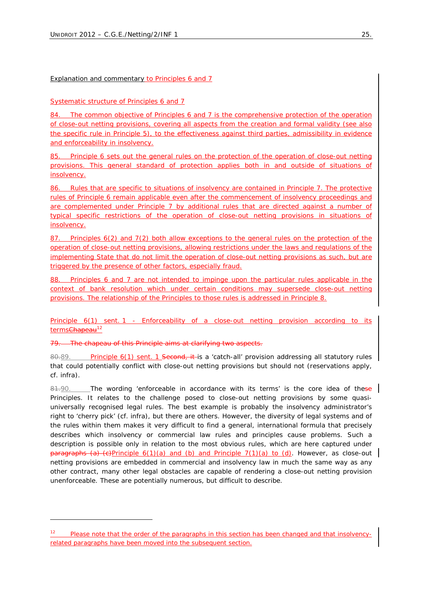# Explanation and commentary to Principles 6 and 7

# *Systematic structure of Principles 6 and 7*

84. The common objective of *Principles 6 and 7* is the comprehensive protection of the operation of close-out netting provisions, covering all aspects from the creation and formal validity (see also the specific rule in *Principle 5*), to the effectiveness against third parties, admissibility in evidence and enforceability in insolvency.

85. *Principle 6* sets out the general rules on the protection of the operation of close-out netting provisions. This general standard of protection applies both in and outside of situations of insolvency.

86. Rules that are specific to situations of insolvency are contained in *Principle 7*. The protective rules of *Principle 6* remain applicable even after the commencement of insolvency proceedings and are complemented under *Principle 7* by additional rules that are directed against a number of typical specific restrictions of the operation of close-out netting provisions in situations of insolvency.

87. *Principles 6(2) and 7(2)* both allow exceptions to the general rules on the protection of the operation of close-out netting provisions, allowing restrictions under the laws and regulations of the implementing State that do not limit the operation of close-out netting provisions as such, but are triggered by the presence of other factors, especially fraud.

88. *Principles 6 and 7* are not intended to impinge upon the particular rules applicable in the context of bank resolution which under certain conditions may supersede close-out netting provisions. The relationship of the Principles to those rules is addressed in *Principle 8*.

# *Principle 6(1) sent. 1 - Enforceability of a close-out netting provision according to its termsChapeau*<sup>12</sup>

The *chapeau* of this Principle aims at clarifying two aspects.

1

80.89. *Principle 6(1) sent. 1* Second, it is a 'catch-all' provision addressing all statutory rules that could potentially conflict with close-out netting provisions but should not (reservations apply, *cf. infra*).

81.90. The wording 'enforceable in accordance with its terms' is the core idea of these Principles. It relates to the challenge posed to close-out netting provisions by some quasiuniversally recognised legal rules. The best example is probably the insolvency administrator's right to 'cherry pick' (*cf. infra*), but there are others. However, the diversity of legal systems and of the rules within them makes it very difficult to find a general, international formula that precisely describes which insolvency or commercial law rules and principles cause problems. Such a description is possible only in relation to the most obvious rules, which are here captured under *paragraphs (a)-(c)Principle 6(1)(a) and (b)* and *Principle 7(1)(a) to (d)*. However, as close-out netting provisions are embedded in commercial and insolvency law in much the same way as any other contract, many other legal obstacles are capable of rendering a close-out netting provision unenforceable. These are potentially numerous, but difficult to describe.

*Please note that the order of the paragraphs in this section has been changed and that insolvencyrelated paragraphs have been moved into the subsequent section.*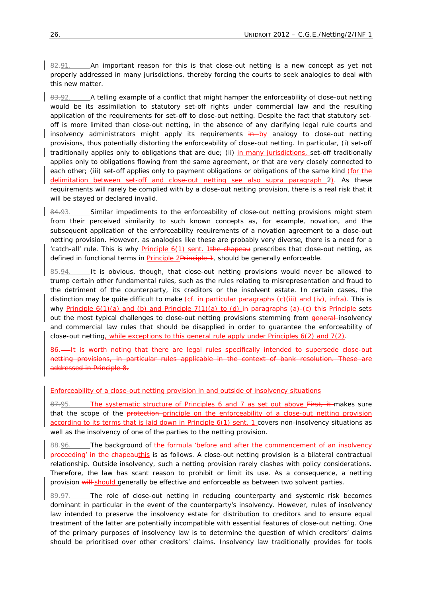82.91. An important reason for this is that close-out netting is a new concept as yet not properly addressed in many jurisdictions, thereby forcing the courts to seek analogies to deal with this new matter.

83.92. A telling example of a conflict that might hamper the enforceability of close-out netting would be its assimilation to statutory set-off rights under commercial law and the resulting application of the requirements for set-off to close-out netting. Despite the fact that statutory setoff is more limited than close-out netting, in the absence of any clarifying legal rule courts and insolvency administrators might apply its requirements in by analogy to close-out netting provisions, thus potentially distorting the enforceability of close-out netting. In particular, (i) set-off traditionally applies only to obligations that are due; (ii) in many jurisdictions, set-off traditionally applies only to obligations flowing from the same agreement, or that are very closely connected to each other; (iii) set-off applies only to payment obligations or obligations of the same kind (for the delimitation between set-off and close-out netting see also *supra paragraph* 2). As these requirements will rarely be complied with by a close-out netting provision, there is a real risk that it will be stayed or declared invalid.

84.93. Similar impediments to the enforceability of close-out netting provisions might stem from their perceived similarity to such known concepts as, for example, novation, and the subsequent application of the enforceability requirements of a novation agreement to a close-out netting provision. However, as analogies like these are probably very diverse, there is a need for a 'catch-all' rule. This is why *Principle 6(1) sent. 1*the *chapeau* prescribes that close-out netting, as defined in functional terms in *Principle 2*Principle 1, should be generally enforceable.

85.94. It is obvious, though, that close-out netting provisions would never be allowed to trump certain other fundamental rules, such as the rules relating to misrepresentation and fraud to the detriment of the counterparty, its creditors or the insolvent estate. In certain cases, the distinction may be quite difficult to make (*cf.* in particular *paragraphs (c)(iii)* and *(iv), infra*). This is why *Principle 6(1)(a) and (b)* and *Principle 7(1)(a) to (d)* in *paragraphs (a)-(c)* this Principle sets out the most typical challenges to close-out netting provisions stemming from general-insolvency and commercial law rules that should be disapplied in order to guarantee the enforceability of close-out netting, while exceptions to this general rule apply under *Principles 6(2) and 7(2)*.

It is worth noting that there are legal rules specifically intended to supersede close-out netting provisions, in particular rules applicable in the context of bank resolution. These are addressed in Principle 8.

#### *Enforceability of a close-out netting provision in and outside of insolvency situations*

87.95. The systematic structure of *Principles 6 and 7* as set out above First, it makes sure that the scope of the protection-principle on the enforceability of a close-out netting provision according to its terms that is laid down in *Principle 6(1) sent. 1* covers non-insolvency situations as well as the insolvency of one of the parties to the netting provision.

88.96. The background of the formula '*before and after the commencement of an insolvency proceeding'* in the *chapeauthis* is as follows. A close-out netting provision is a bilateral contractual relationship. Outside insolvency, such a netting provision rarely clashes with policy considerations. Therefore, the law has scant reason to prohibit or limit its use. As a consequence, a netting provision will-should generally be effective and enforceable as between two solvent parties.

 $89.97.$  The role of close-out netting in reducing counterparty and systemic risk becomes dominant in particular in the event of the counterparty's insolvency. However, rules of insolvency law intended to preserve the insolvency estate for distribution to creditors and to ensure equal treatment of the latter are potentially incompatible with essential features of close-out netting. One of the primary purposes of insolvency law is to determine the question of which creditors' claims should be prioritised over other creditors' claims. Insolvency law traditionally provides for tools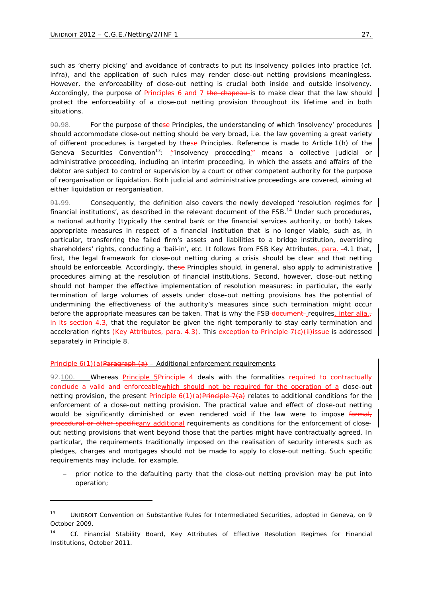such as 'cherry picking' and avoidance of contracts to put its insolvency policies into practice (*cf. infra*), and the application of such rules may render close-out netting provisions meaningless. However, the enforceability of close-out netting is crucial both inside *and* outside insolvency. Accordingly, the purpose of *Principles 6 and 7* the *chapeau* is to make clear that the law should protect the enforceability of a close-out netting provision throughout its lifetime and in both situations.

90.98. For the purpose of these Principles, the understanding of which 'insolvency' procedures should accommodate close-out netting should be very broad, *i.e.* the law governing a great variety of different procedures is targeted by these Principles. Reference is made to Article 1(h) of the Geneva Securities Convention<sup>13</sup>: '*"insolvency proceeding*'" means a collective judicial or *administrative proceeding, including an interim proceeding, in which the assets and affairs of the debtor are subject to control or supervision by a court or other competent authority for the purpose of reorganisation or liquidation.* Both judicial and administrative proceedings are covered, aiming at either liquidation or reorganisation.

 $91.99.$  Consequently, the definition also covers the newly developed 'resolution regimes for financial institutions', as described in the relevant document of the  $FSB$ .<sup>14</sup> Under such procedures, a national authority (typically the central bank or the financial services authority, or both) takes appropriate measures in respect of a financial institution that is no longer viable, such as, in particular, transferring the failed firm's assets and liabilities to a bridge institution, overriding shareholders' rights, conducting a 'bail-in', *etc*. It follows from FSB Key Attributes, para. -4.1 that, first, the legal framework for close-out netting during a crisis should be clear and that netting should be enforceable. Accordingly, these Principles should, in general, also apply to administrative procedures aiming at the resolution of financial institutions. Second, however, close-out netting should not hamper the effective implementation of resolution measures: in particular, the early termination of large volumes of assets under close-out netting provisions has the potential of undermining the effectiveness of the authority's measures since such termination might occur before the appropriate measures can be taken. That is why the FSB-document-requires, *inter alia*, in its section 4.3, that the regulator be given the right temporarily to stay early termination and acceleration rights (Key Attributes, para. 4.3). This exception to Principle  $7(c)$ (ii)issue is addressed separately in *Principle 8*.

#### *Principle 6(1)(a)Paragraph (a) – Additional enforcement requirements*

1

92.100. Whereas *Principle 5*Principle 4 deals with the formalities required to contractually conclude a valid and enforceablewhich should not be required for the operation of a close-out netting provision, the present *Principle 6(1)(a)*Principle 7(a) relates to additional conditions for the enforcement of a close-out netting provision. The practical value and effect of close-out netting would be significantly diminished or even rendered void if the law were to impose formal, procedural or other specificany additional requirements as conditions for the enforcement of closeout netting provisions that went beyond those that the parties might have contractually agreed. In particular, the requirements traditionally imposed on the realisation of security interests such as pledges, charges and mortgages should not be made to apply to close-out netting. Such specific requirements may include, for example,

prior notice to the defaulting party that the close-out netting provision may be put into operation;

<sup>13</sup> UNIDROIT Convention on Substantive Rules for Intermediated Securities, adopted in Geneva, on 9 October 2009.

<sup>14</sup> *Cf.* Financial Stability Board, Key Attributes of Effective Resolution Regimes for Financial Institutions, October 2011.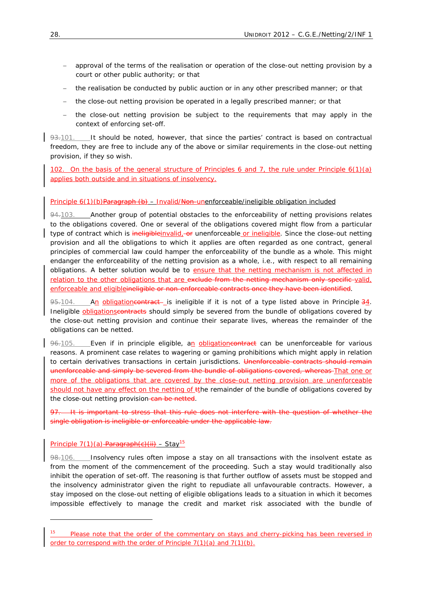- − approval of the terms of the realisation or operation of the close-out netting provision by a court or other public authority; or that
- − the realisation be conducted by public auction or in any other prescribed manner; or that
- − the close-out netting provision be operated in a legally prescribed manner; or that
- − the close-out netting provision be subject to the requirements that may apply in the context of enforcing set-off.

 $93.101.$  It should be noted, however, that since the parties' contract is based on contractual freedom, they are free to include any of the above or similar requirements in the close-out netting provision, if they so wish.

102. On the basis of the general structure of *Principles 6 and 7*, the rule under *Principle 6(1)(a)* applies both outside and in situations of insolvency.

## *Principle 6(1)(b)Paragraph (b) – Invalid/Non-unenforceable/ineligible obligation included*

94.103. Another group of potential obstacles to the enforceability of netting provisions relates to the obligations covered. One or several of the obligations covered might flow from a particular type of contract which is ineligible invalid, or unenforceable or ineligible. Since the close-out netting provision and all the obligations to which it applies are often regarded as *one* contract, general principles of commercial law could hamper the enforceability of the bundle as a whole. This might endanger the enforceability of the netting provision as a whole, *i.e.*, with respect to all remaining obligations. A better solution would be to ensure that the netting mechanism is not affected in relation to the other obligations that are exclude from the netting mechanism only specific valid, enforceable and eligibleineligible or non-enforceable contracts once they have been identified.

95.104. An obligatione on tract- is ineligible if it is not of a type listed above in *Principle 34*. Ineligible **obligationscontracts** should simply be severed from the bundle of obligations covered by the close-out netting provision and continue their separate lives, whereas the remainder of the obligations can be netted.

96-105. Even if in principle eligible, an obligatione on tract can be unenforceable for various reasons. A prominent case relates to wagering or gaming prohibitions which might apply in relation to certain derivatives transactions in certain jurisdictions. Unenforceable contracts should remain unenforceable and simply be severed from the bundle of obligations covered, whereas That one or more of the obligations that are covered by the close-out netting provision are unenforceable should not have any effect on the netting of the remainder of the bundle of obligations covered by the close-out netting provision-can be netted.

97. It is important to stress that this rule does not interfere with the question of whether the *single* obligation is ineligible or enforceable under the applicable law.

# *Principle 7(1)(a) Paragraph(c)(ii) – Stay*<sup>15</sup>

1

98.106. Insolvency rules often impose a stay on all transactions with the insolvent estate as from the moment of the commencement of the proceeding. Such a stay would traditionally also inhibit the operation of set-off. The reasoning is that further outflow of assets must be stopped and the insolvency administrator given the right to repudiate all unfavourable contracts. However, a stay imposed on the close-out netting of eligible obligations leads to a situation in which it becomes impossible effectively to manage the credit *and* market risk associated with the bundle of

<sup>15</sup> *Please note that the order of the commentary on stays and cherry-picking has been reversed in order to correspond with the order of Principle 7(1)(a) and 7(1)(b)*.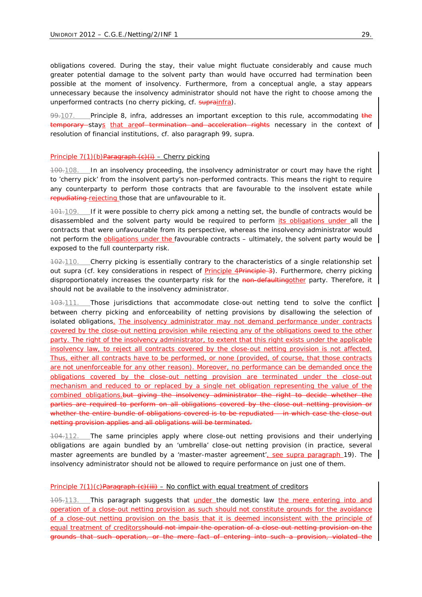obligations covered. During the stay, their value might fluctuate considerably and cause much greater potential damage to the solvent party than would have occurred had termination been possible at the moment of insolvency. Furthermore, from a conceptual angle, a stay appears unnecessary because the insolvency administrator should not have the right to choose among the unperformed contracts (no cherry picking, *cf. suprainfra*).

99.107. Principle 8, *infra*, addresses an important exception to this rule, accommodating the temporary stays that areof termination and acceleration rights necessary in the context of resolution of financial institutions, *cf.* also *paragraph 99*, *supra*.

#### *Principle 7(1)(b)Paragraph (c)(i) – Cherry picking*

100.108. In an insolvency proceeding, the insolvency administrator or court may have the right to 'cherry pick' from the insolvent party's non-performed contracts. This means the right to require any counterparty to perform those contracts that are favourable to the insolvent estate while repudiating rejecting those that are unfavourable to it.

101.109. If it were possible to cherry pick among a netting set, the bundle of contracts would be disassembled and the solvent party would be required to perform its obligations under all the contracts that were unfavourable from its perspective, whereas the insolvency administrator would not perform the obligations under the favourable contracts – ultimately, the solvent party would be exposed to the full counterparty risk.

102.110. Cherry picking is essentially contrary to the characteristics of a single relationship set out *supra* (*cf*. key considerations in respect of *Principle 4*Principle 3). Furthermore, cherry picking disproportionately increases the counterparty risk for the non-defaultingother party. Therefore, it should not be available to the insolvency administrator.

103.111. Those jurisdictions that accommodate close-out netting tend to solve the conflict between cherry picking and enforceability of netting provisions by disallowing the selection of isolated obligations. The insolvency administrator may not demand performance under contracts covered by the close-out netting provision while rejecting any of the obligations owed to the other party. The right of the insolvency administrator, to extent that this right exists under the applicable insolvency law, to reject *all* contracts covered by the close-out netting provision is not affected. Thus, either *all* contracts have to be performed, or *none* (provided, of course, that those contracts are not unenforceable for any other reason). Moreover, no performance can be demanded once the obligations covered by the close-out netting provision are terminated under the close-out mechanism and reduced to or replaced by a single net obligation representing the value of the combined obligations.but giving the insolvency administrator the right to decide whether the parties are required to perform on *all* obligations covered by the close-out netting provision or whether the entire bundle of obligations covered is to be repudiated – in which case the close-out netting provision applies and all obligations will be terminated.

104.112. The same principles apply where close-out netting provisions and their underlying obligations are again bundled by an 'umbrella' close-out netting provision (in practice, several master agreements are bundled by a 'master-master agreement', see *supra paragraph* 19). The insolvency administrator should not be allowed to require performance on just one of them.

#### *Principle 7(1)(c)Paragraph (c)(iii) – No conflict with equal treatment of creditors*

105.113. This paragraph suggests that *under* the domestic law *the mere entering into and* operation of a close-out netting provision as such should not constitute grounds for the avoidance of a close-out netting provision on the basis that it is deemed inconsistent with the principle of equal treatment of creditorsshould not impair the operation of a close-out netting provision on the grounds that such operation, or the mere fact of entering into such a provision, violated the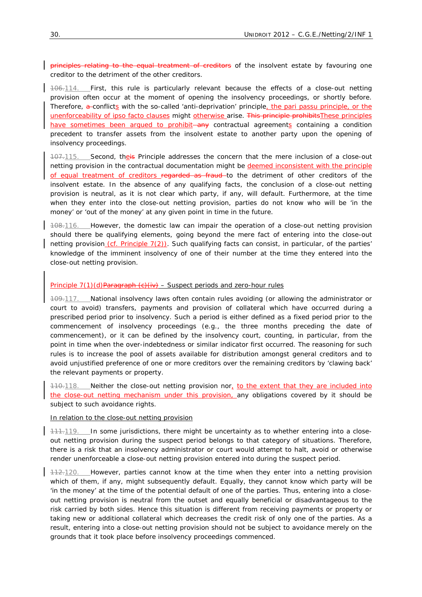principles relating to the equal treatment of creditors of the insolvent estate by favouring one creditor to the detriment of the other creditors.

106.114. First, this rule is particularly relevant because the effects of a close-out netting provision often occur at the moment of opening the insolvency proceedings, or shortly before. Therefore, a conflicts with the so-called 'anti-deprivation' principle, the *pari passu* principle, or the unenforceability of *ipso facto* clauses might otherwise arise. This principle prohibitsThese principles have sometimes been argued to prohibit—any contractual agreements containing a condition precedent to transfer assets from the insolvent estate to another party upon the opening of insolvency proceedings.

107.115. Second, the is Principle addresses the concern that the mere inclusion of a close-out netting provision in the contractual documentation might be deemed inconsistent with the principle of equal treatment of creditors regarded as fraud to the detriment of other creditors of the insolvent estate. In the absence of any qualifying facts, the conclusion of a close-out netting provision is neutral, as it is not clear which party, if any, will default. Furthermore, at the time when they enter into the close-out netting provision, parties do not know who will be 'in the money' or 'out of the money' at any given point in time in the future.

108.116. However, the domestic law can impair the operation of a close-out netting provision should there be qualifying elements, going beyond the *mere* fact of entering into the close-out netting provision (*cf. Principle 7(2))*. Such qualifying facts can consist, in particular, of the parties' knowledge of the imminent insolvency of one of their number at the time they entered into the close-out netting provision.

## *Principle 7(1)(d)Paragraph (c)(iv) – Suspect periods and zero-hour rules*

109.117. National insolvency laws often contain rules avoiding (or allowing the administrator or court to avoid) transfers, payments and provision of collateral which have occurred during a prescribed period prior to insolvency. Such a period is either defined as a fixed period prior to the commencement of insolvency proceedings (*e.g.*, the three months preceding the date of commencement), or it can be defined by the insolvency court, counting, in particular, from the point in time when the over-indebtedness or similar indicator first occurred. The reasoning for such rules is to increase the pool of assets available for distribution amongst general creditors and to avoid unjustified preference of one or more creditors over the remaining creditors by 'clawing back' the relevant payments or property.

110.118. Neither the close-out netting provision nor, to the extent that they are included into the close-out netting mechanism under this provision, any obligations covered by it should be subject to such avoidance rights.

## *In relation to the close-out netting provision*

111.119. In some jurisdictions, there might be uncertainty as to whether entering into a closeout netting provision during the suspect period belongs to that category of situations. Therefore, there is a risk that an insolvency administrator or court would attempt to halt, avoid or otherwise render unenforceable a close-out netting provision entered into during the suspect period.

112.120. However, parties cannot know at the time when they enter into a netting provision which of them, if any, might subsequently default. Equally, they cannot know which party will be 'in the money' at the time of the potential default of one of the parties. Thus, entering into a closeout netting provision is neutral from the outset and equally beneficial or disadvantageous to the risk carried by both sides. Hence this situation is different from receiving payments or property or taking new or additional collateral which decreases the credit risk of only one of the parties. As a result, entering into a close-out netting provision should not be subject to avoidance merely on the grounds that it took place before insolvency proceedings commenced.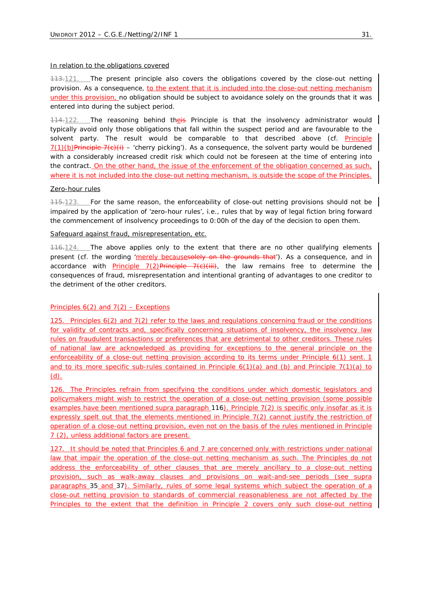#### *In relation to the obligations covered*

113.121. The present principle also covers the obligations covered by the close-out netting provision. As a consequence, to the extent that it is included into the close-out netting mechanism under this provision, no obligation should be subject to avoidance solely on the grounds that it was entered into during the subject period.

114.122. The reasoning behind theis Principle is that the insolvency administrator would typically avoid only those obligations that fall within the suspect period and are favourable to the solvent party. The result would be comparable to that described above (*cf*. *Principle*   $7(1)(b)$ Principle 7(c)(i) – 'cherry picking'). As a consequence, the solvent party would be burdened with a considerably increased credit risk which could not be foreseen at the time of entering into the contract. On the other hand, the issue of the enforcement of the obligation concerned as such, where it is not included into the close-out netting mechanism, is outside the scope of the Principles.

#### *Zero-hour rules*

115.123. For the same reason, the enforceability of close-out netting provisions should not be impaired by the application of 'zero-hour rules', *i.e.*, rules that by way of legal fiction bring forward the commencement of insolvency proceedings to 0:00h of the day of the decision to open them.

## *Safeguard against fraud, misrepresentation, etc.*

116.124. The above applies only to the extent that there are no other qualifying elements present (*cf.* the wording 'merely becausesolely on the grounds that'). As a consequence, and in accordance with *Principle 7(2)*Principle 7(c)(iii), the law remains free to determine the consequences of fraud, misrepresentation and intentional granting of advantages to one creditor to the detriment of the other creditors.

## *Principles 6(2) and 7(2) – Exceptions*

125. *Principles 6(2) and 7(2)* refer to the laws and regulations concerning fraud or the conditions for validity of contracts and, specifically concerning situations of insolvency, the insolvency law rules on fraudulent transactions or preferences that are detrimental to other creditors. These rules of national law are acknowledged as providing for exceptions to the general principle on the enforceability of a close-out netting provision according to its terms under *Principle 6(1) sent. 1* and to its more specific sub-rules contained in *Principle 6(1)(a) and (b)* and *Principle 7(1)(a) to (d).*

126. The Principles refrain from specifying the conditions under which domestic legislators and policymakers might wish to restrict the operation of a close-out netting provision (some possible examples have been mentioned *supra paragraph* 116). *Principle 7(2)* is specific only insofar as it is expressly spelt out that the elements mentioned in *Principle 7(2)* cannot justify the restriction of operation of a close-out netting provision, even not on the basis of the rules mentioned in *Principle 7 (2)*, unless additional factors are present.

127. It should be noted that *Principles 6 and 7* are concerned only with restrictions under national law that impair the operation of the close-out netting mechanism as such. The Principles do not address the enforceability of other clauses that are merely ancillary to a close-out netting provision, such as walk-away clauses and provisions on wait-and-see periods (see *supra paragraphs* 35 and 37). Similarly, rules of some legal systems which subject the operation of a close-out netting provision to standards of commercial reasonableness are not affected by the Principles to the extent that the definition in *Principle 2* covers only such close-out netting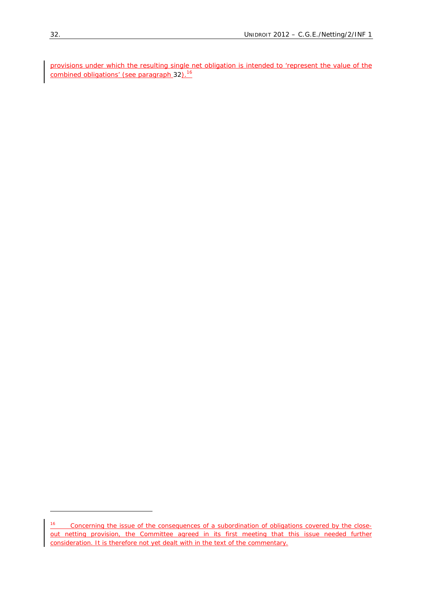provisions under which the resulting single net obligation is intended to 'represent the value of the combined obligations' (see *paragraph* 32).<sup>16</sup>

<sup>16</sup> *Concerning the issue of the consequences of a subordination of obligations covered by the close-<u>out netting provision, the Committee agreed in its first meeting that this issue needed further*</u> *consideration. It is therefore not yet dealt with in the text of the commentary*.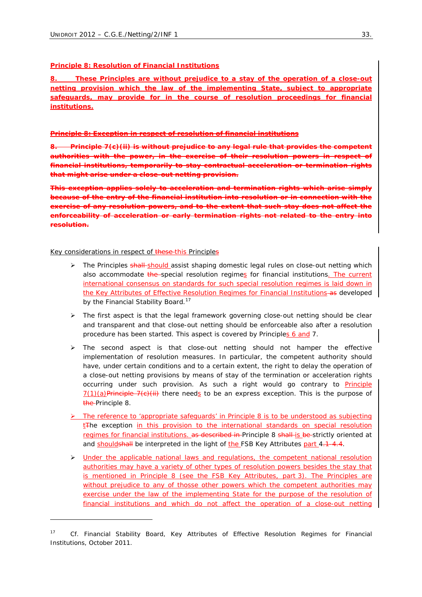#### **Principle 8: Resolution of Financial Institutions**

*8. These Principles are without prejudice to a stay of the operation of a close-out netting provision which the law of the implementing State, subject to appropriate safeguards, may provide for in the course of resolution proceedings for financial institutions.*

#### **Principle 8: Exception in respect of resolution of financial institutions**

*8. Principle 7(c)(ii) is without prejudice to any legal rule that provides the competent*  authorities with the power, in the exercise of their resolution powers in *financial institutions, temporarily to stay contractual acceleration or termination that might arise under a close-out netting provision.*

*This exception applies solely to acceleration and termination rights which arise simply because of the entry of the financial institution into resolution or in connection with the exercise of any resolution powers, and to the extent that such stay does not affect the enforceability of acceleration or early termination rights not related to the entry into resolution.*

#### Key considerations in respect of these-this Principles

- The Principles shall should assist shaping domestic legal rules on close-out netting which also accommodate the special resolution regimes for financial institutions. The current international consensus on standards for such special resolution regimes is laid down in the Key Attributes of Effective Resolution Regimes for Financial Institutions-as developed by the *Financial Stability Board*. 17
- $\triangleright$  The first aspect is that the legal framework governing close-out netting should be clear and transparent and that close-out netting should be enforceable also after a resolution procedure has been started. This aspect is covered by *Principles 6 and 7*.
- $\triangleright$  The second aspect is that close-out netting should not hamper the effective implementation of resolution measures. In particular, the competent authority should have, under certain conditions and to a certain extent, the right to delay the operation of a close-out netting provisions by means of stay of the termination or acceleration rights occurring under such provision. As such a right would go contrary to *Principle 7(1)(a)*Principle 7(c)(ii) there needs to be an express exception. This is the purpose of the *Principle 8*.
- ¾ The reference to 'appropriate safeguards' in *Principle 8* is to be understood as subjecting  $tF$ he exception in this provision to the international standards on special resolution regimes for financial institutions. as described in *Principle 8* shall is be strictly oriented at and shouldshall be interpreted in the light of the FSB Key Attributes part 4.1-4.4.
- $\triangleright$  Under the applicable national laws and regulations, the competent national resolution authorities may have a variety of other types of resolution powers besides the stay that is mentioned in *Principle 8* (see the FSB Key Attributes, part 3). The Principles are without prejudice to any of thosse other powers which the competent authorities may exercise under the law of the implementing State for the purpose of the resolution of financial institutions and which do not affect the operation of a close-out netting

<sup>17</sup> *Cf.* Financial Stability Board, Key Attributes of Effective Resolution Regimes for Financial Institutions, October 2011.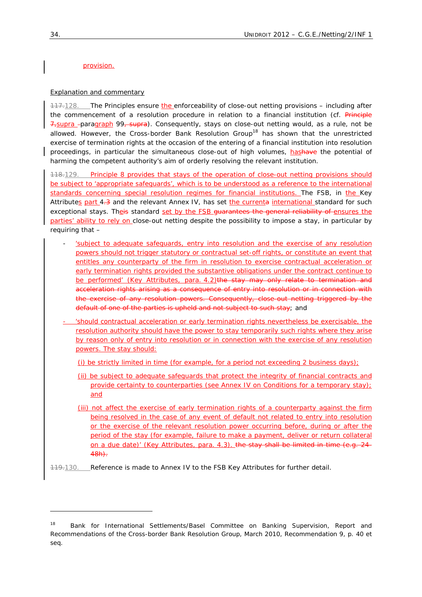## provision.

## Explanation and commentary

117.128. The Principles ensure the enforceability of close-out netting provisions – including after the commencement of a resolution procedure in relation to a financial institution (*cf*. Principle 7,*supra paragraph* 99, *supra*). Consequently, stays on close-out netting would, as a rule, not be allowed. However, the *Cross-border Bank Resolution Group*18 has shown that the unrestricted exercise of termination rights at the occasion of the entering of a financial institution into resolution proceedings, in particular the simultaneous close-out of high volumes, hashave the potential of harming the competent authority's aim of orderly resolving the relevant institution.

118.129. *Principle 8* provides that stays of the operation of close-out netting provisions should be subject to 'appropriate safeguards', which is to be understood as a reference to the international standards concerning special resolution regimes for financial institutions. The FSB, in the Key Attributes part 4.3 and the relevant Annex IV, has set the currenta international standard for such exceptional stays. Theis standard set by the FSB guarantees the general reliability of ensures the parties' ability to rely on close-out netting despite the possibility to impose a stay, in particular by requiring that –

- 'subject to adequate safeguards, entry into resolution and the exercise of any resolution powers should not trigger statutory or contractual set-off rights, or constitute an event that entitles any counterparty of the firm in resolution to exercise contractual acceleration or early termination rights provided the substantive obligations under the contract continue to be performed' (Key Attributes, para. 4.2)the stay may only relate to termination and acceleration rights arising as a consequence of entry into resolution or in connection with the exercise of any resolution powers. Consequently, close-out netting triggered by the default of one of the parties is upheld and not subject to such stay; and
- 'should contractual acceleration or early termination rights nevertheless be exercisable, the resolution authority should have the power to stay temporarily such rights where they arise by reason only of entry into resolution or in connection with the exercise of any resolution powers. The stay should:
	- (i) be strictly limited in time (for example, for a period not exceeding 2 business days);
	- (ii) be subject to adequate safeguards that protect the integrity of financial contracts and provide certainty to counterparties (see Annex IV on Conditions for a temporary stay); and
	- (iii) not affect the exercise of early termination rights of a counterparty against the firm being resolved in the case of any event of default not related to entry into resolution or the exercise of the relevant resolution power occurring before, during or after the period of the stay (for example, failure to make a payment, deliver or return collateral on a due date)' (Key Attributes, para. 4.3). the stay shall be limited in time (*e.g.* 24- 48h).
- 119.130. Reference is made to Annex IV to the FSB Key Attributes for further detail.

<sup>&</sup>lt;sup>18</sup> Bank for International Settlements/Basel Committee on Banking Supervision, Report and Recommendations of the Cross-border Bank Resolution Group, March 2010, Recommendation 9, p. 40 *et seq.*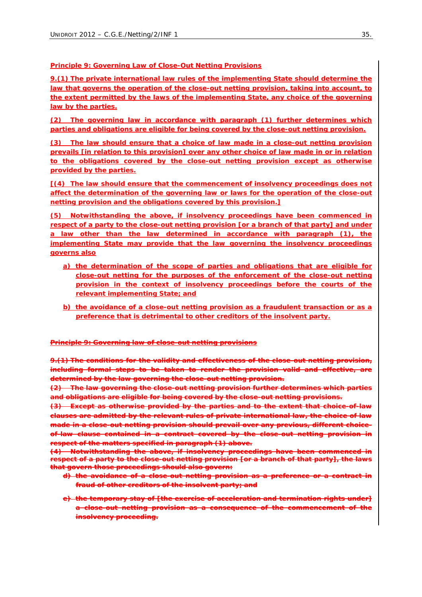# **Principle 9: Governing Law of Close-Out Netting Provisions**

*9.(1) The private international law rules of the implementing State should determine the law that governs the operation of the close-out netting provision, taking into account, to the extent permitted by the laws of the implementing State, any choice of the governing law by the parties.* 

*(2) The governing law in accordance with paragraph (1) further determines which parties and obligations are eligible for being covered by the close-out netting provision.*

*(3) The law should ensure that a choice of law made in a close-out netting provision prevails [in relation to this provision] over any other choice of law made in or in relation to the obligations covered by the close-out netting provision except as otherwise provided by the parties.* 

*[(4) The law should ensure that the commencement of insolvency proceedings does not affect the determination of the governing law or laws for the operation of the close-out netting provision and the obligations covered by this provision.]*

*(5) Notwithstanding the above, if insolvency proceedings have been commenced in respect of a party to the close-out netting provision [or a branch of that party] and under a law other than the law determined in accordance with paragraph (1), the implementing State may provide that the law governing the insolvency proceedings governs also*

- *a) the determination of the scope of parties and obligations that are eligible for close-out netting for the purposes of the enforcement of the close-out netting provision in the context of insolvency proceedings before the courts of the relevant implementing State; and*
- *b) the avoidance of a close-out netting provision as a fraudulent transaction or as a preference that is detrimental to other creditors of the insolvent party.*

**Principle 9: Governing law of close-out netting provisions**

*9.(1) The conditions for the validity and effectiveness of the close-out netting provision, including formal steps to be taken to render the provision valid and effective, are determined by the law governing the close-out netting provision.* 

*(2) The law governing the close-out netting provision further determines which parties and obligations are eligible for being covered by the close-out netting provisions.*

*(3) Except as otherwise provided by the parties and to the extent that choice-of-law clauses are admitted by the relevant rules of private international law, the choice of law made in a close-out netting provision should prevail over any previous, different choiceof-law clause contained in a contract covered by the close-out netting provision in respect of the matters specified in paragraph (1) above.*

*(4) Notwithstanding the above, if insolvency proceedings have been commenced in respect of a party to the close-out netting provision [or a branch of that party], the laws that govern those proceedings should also govern:* 

- *d) the avoidance of a close-out netting provision as a preference or a contract in fraud of other creditors of the insolvent party; and*
- *e) the temporary stay of [the exercise of acceleration and termination rights under] a close-out netting provision as a consequence of the commencement of the insolvency proceeding.*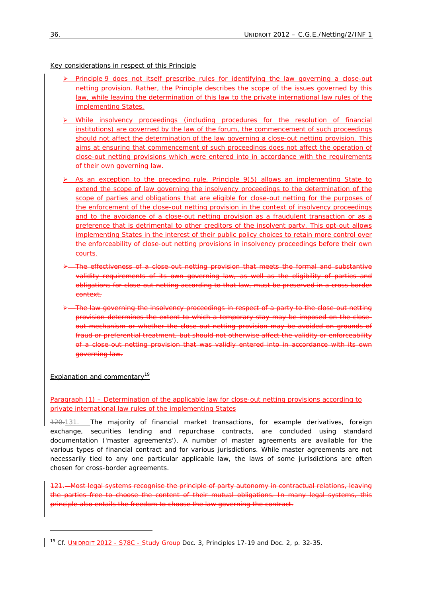Key considerations in respect of this Principle

- ¾ *Principle 9* does not itself prescribe rules for identifying the law governing a close-out netting provision. Rather, the Principle describes the scope of the issues governed by this law, while leaving the determination of this law to the private international law rules of the implementing States.
- $\triangleright$  While insolvency proceedings (including procedures for the resolution of financial institutions) are governed by the law of the forum, the commencement of such proceedings should not affect the determination of the law governing a close-out netting provision. This aims at ensuring that commencement of such proceedings does not affect the operation of close-out netting provisions which were entered into in accordance with the requirements of their own governing law.
- ¾ As an exception to the preceding rule, *Principle 9(5)* allows an implementing State to extend the scope of law governing the insolvency proceedings to the determination of the scope of parties and obligations that are eligible for close-out netting for the purposes of the enforcement of the close-out netting provision in the context of insolvency proceedings and to the avoidance of a close-out netting provision as a fraudulent transaction or as a preference that is detrimental to other creditors of the insolvent party. This opt-out allows implementing States in the interest of their public policy choices to retain more control over the enforceability of close-out netting provisions in insolvency proceedings before their own courts.
- ¾ The effectiveness of a close-out netting provision that meets the formal and substantive validity requirements of its own governing law, as well as the eligibility of parties and obligations for close-out netting according to that law, must be preserved in a cross-border context.
- ¾ The law governing the insolvency proceedings in respect of a party to the close-out netting provision determines the extent to which a temporary stay may be imposed on the closeout mechanism or whether the close-out netting provision may be avoided on grounds of fraud or preferential treatment, but should not otherwise affect the validity or enforceability of a close-out netting provision that was validly entered into in accordance with its own governing law.

Explanation and commentary<sup>19</sup>

1

# *Paragraph (1) – Determination of the applicable law for close-out netting provisions according to private international law rules of the implementing States*

120.131. The majority of financial market transactions, for example derivatives, foreign exchange, securities lending and repurchase contracts, are concluded using standard documentation ('master agreements'). A number of master agreements are available for the various types of financial contract and for various jurisdictions. While master agreements are not necessarily tied to any one particular applicable law, the laws of some jurisdictions are often chosen for cross-border agreements.

121. Most legal systems recognise the principle of party autonomy in contractual relations, leaving the parties free to choose the content of their mutual obligations. In many legal systems, this principle also entails the freedom to choose the law governing the contract.

<sup>&</sup>lt;sup>19</sup> *Cf.* UNIDROIT 2012 - S78C - Study Group Doc. 3, Principles 17-19 and Doc. 2, p. 32-35.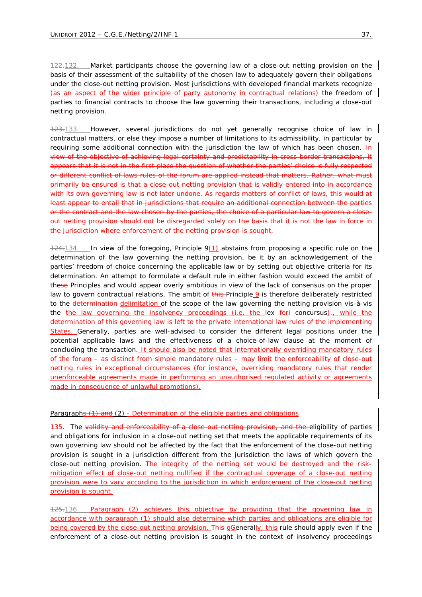122.132. Market participants choose the governing law of a close-out netting provision on the basis of their assessment of the suitability of the chosen law to adequately govern their obligations under the close-out netting provision. Most jurisdictions with developed financial markets recognize (as an aspect of the wider principle of party autonomy in contractual relations) the freedom of parties to financial contracts to choose the law governing their transactions, including a close-out netting provision.

123.133. However, several jurisdictions do not yet generally recognise choice of law in contractual matters, or else they impose a number of limitations to its admissibility, in particular by requiring some additional connection with the jurisdiction the law of which has been chosen.  $H\rightarrow$ view of the objective of achieving legal certainty and predictability in cross-border transactions, it appears that it is not in the first place the question of whether the parties' choice is fully respected or different conflict of laws rules of the forum are applied instead that matters. Rather, what must primarily be ensured is that a close-out netting provision that is validly entered into in accordance with its own governing law is not later undone. As regards matters of conflict of laws, this would at least appear to entail that in jurisdictions that require an additional connection between the parties or the contract and the law chosen by the parties, the choice of a particular law to govern a closeout netting provision should not be disregarded solely on the basis that it is not the law in force in the jurisdiction where enforcement of the netting provision is sought.

124.134. In view of the foregoing, *Principle 9(1)* abstains from proposing a specific rule on the determination of the law governing the netting provision, be it by an acknowledgement of the parties' freedom of choice concerning the applicable law or by setting out objective criteria for its determination. An attempt to formulate a default rule in either fashion would exceed the ambit of these Principles and would appear overly ambitious in view of the lack of consensus on the proper law to govern contractual relations. The ambit of this *Principle 9* is therefore deliberately restricted to the determination-delimitation of the scope of the law governing the netting provision vis-à-vis the the law governing the insolvency proceedings (*i.e.* the *lex fori concursus)*., while the determination of this governing law is left to the private international law rules of the implementing States. Generally, parties are well-advised to consider the different legal positions under the potential applicable laws and the effectiveness of a choice-of-law clause at the moment of concluding the transaction. It should also be noted that internationally overriding mandatory rules of the forum – as distinct from simple mandatory rules – may limit the enforceability of close-out netting rules in exceptional circumstances (for instance, overriding mandatory rules that render unenforceable agreements made in performing an unauthorised regulated activity or agreements made in consequence of unlawful promotions).

#### *Paragraphs (1) and (2) - Determination of the eligible parties and obligations*

135. The validity and enforceability of a close-out netting provision, and the eligibility of parties and obligations for inclusion in a close-out netting set that meets the applicable requirements of its own governing law should not be affected by the fact that the enforcement of the close-out netting provision is sought in a jurisdiction different from the jurisdiction the laws of which govern the close-out netting provision. The integrity of the netting set would be destroyed and the riskmitigation effect of close-out netting nullified if the contractual coverage of a close-out netting provision were to vary according to the jurisdiction in which enforcement of the close-out netting provision is sought.

125.136. *Paragraph (2)* achieves this objective by providing that the governing law in accordance with *paragraph (1)* should also determine which parties and obligations are eligible for being covered by the close-out netting provision. This gCenerally, this rule should apply even if the enforcement of a close-out netting provision is sought in the context of insolvency proceedings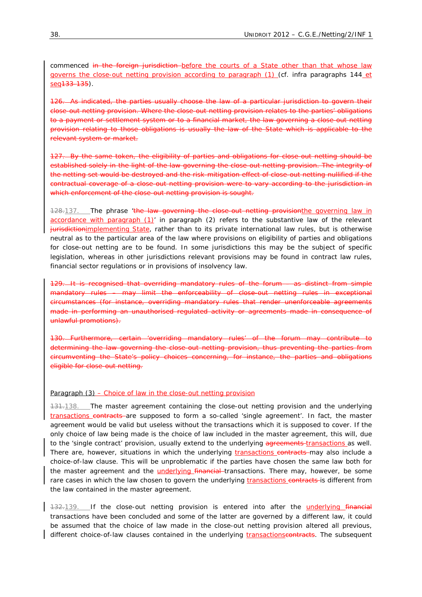commenced in the foreign jurisdiction before the courts of a State other than that whose law governs the close-out netting provision according to *paragraph (1)* (*cf. infra paragraphs 144 et seq133-135*).

126. As indicated, the parties usually choose the law of a particular jurisdiction to govern their close-out netting provision. Where the close-out netting provision relates to the parties' obligations to a payment or settlement system or to a financial market, the law governing a close-out netting provision relating to those obligations is usually the law of the State which is applicable to the relevant system or market.

127. By the same token, the eligibility of parties and obligations for close-out netting should be established solely in the light of the law governing the close-out netting provision. The integrity of the netting set would be destroyed and the risk-mitigation effect of close-out netting nullified if the contractual coverage of a close-out netting provision were to vary according to the jurisdiction in which enforcement of the close-out netting provision is sought.

128.137. The phrase 'the law governing the close-out netting provision the governing law in accordance with paragraph (1)' in *paragraph (2)* refers to the substantive law of the relevant jurisdictionimplementing State, rather than to its private international law rules, but is otherwise neutral as to the particular area of the law where provisions on eligibility of parties and obligations for close-out netting are to be found. In some jurisdictions this may be the subject of specific legislation, whereas in other jurisdictions relevant provisions may be found in contract law rules, financial sector regulations or in provisions of insolvency law.

129. It is recognised that overriding mandatory rules of the forum – as distinct from simple mandatory rules – may limit the enforceability of close-out netting rules in exceptional circumstances (for instance, overriding mandatory rules that render unenforceable agreements made in performing an unauthorised regulated activity or agreements made in consequence of unlawful promotions).

130. Furthermore, certain 'overriding mandatory rules' of the forum may contribute to determining the law governing the close-out netting provision, thus preventing the parties from circumventing the State's policy choices concerning, for instance, the parties and obligations eligible for close-out netting.

# *Paragraph (3) – Choice of law in the close-out netting provision*

131.138. The master agreement containing the close-out netting provision and the underlying transactions contracts are supposed to form a so-called 'single agreement'. In fact, the master agreement would be valid but useless without the transactions which it is supposed to cover. If the only choice of law being made is the choice of law included in the master agreement, this will, due to the 'single contract' provision, usually extend to the underlying agreements transactions as well. There are, however, situations in which the underlying transactions contracts may also include a choice-of-law clause. This will be unproblematic if the parties have chosen the same law both for the master agreement and the underlying financial transactions. There may, however, be some rare cases in which the law chosen to govern the underlying *transactions* contracts is different from the law contained in the master agreement.

132.139. If the close-out netting provision is entered into after the *underlying financial* transactions have been concluded and some of the latter are governed by a different law, it could be assumed that the choice of law made in the close-out netting provision altered all previous, different choice-of-law clauses contained in the underlying transactionscontracts. The subsequent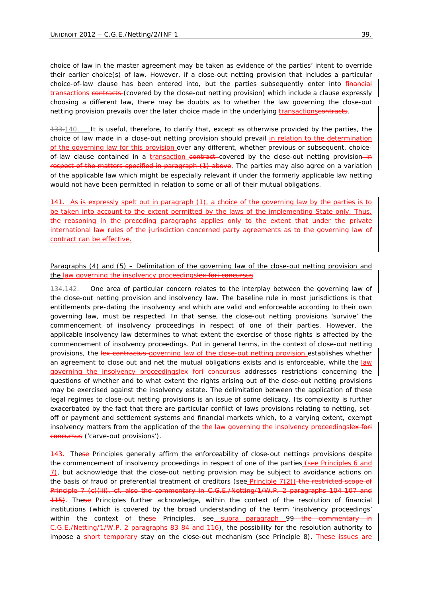choice of law in the master agreement may be taken as evidence of the parties' intent to override their earlier choice(s) of law. However, if a close-out netting provision that includes a particular choice-of-law clause has been entered into, but the parties subsequently enter into financial transactions contracts (covered by the close-out netting provision) which include a clause expressly choosing a different law, there may be doubts as to whether the law governing the close-out netting provision prevails over the later choice made in the underlying transactionscontracts.

133.140. It is useful, therefore, to clarify that, except as otherwise provided by the parties, the choice of law made in a close-out netting provision should prevail in relation to the determination of the governing law for this provision over any different, whether previous or subsequent, choiceof-law clause contained in a transaction contract covered by the close-out netting provision-in respect of the matters specified in *paragraph (1)* above. The parties may also agree on a variation of the applicable law which might be especially relevant if under the formerly applicable law netting would not have been permitted in relation to some or all of their mutual obligations.

141. As is expressly spelt out in *paragraph (1)*, a choice of the governing law by the parties is to be taken into account to the extent permitted by the laws of the implementing State only. Thus, the reasoning in the preceding *paragraphs* applies only to the extent that under the private international law rules of the jurisdiction concerned party agreements as to the governing law of contract can be effective.

## *Paragraphs (4) and (5) – Delimitation of the governing law of the close-out netting provision and the law governing the insolvency proceedingslex fori concursus*

134.142. One area of particular concern relates to the interplay between the governing law of the close-out netting provision and insolvency law. The baseline rule in most jurisdictions is that entitlements pre-dating the insolvency and which are valid and enforceable according to their own governing law, must be respected. In that sense, the close-out netting provisions 'survive' the commencement of insolvency proceedings in respect of one of their parties. However, the applicable insolvency law determines to what extent the exercise of those rights is affected by the commencement of insolvency proceedings. Put in general terms, in the context of close-out netting provisions, the *lex contractus* governing law of the close-out netting provision establishes whether an agreement to close out and net the mutual obligations exists and is enforceable, while the law governing the insolvency proceedings*lex fori concursus* addresses restrictions concerning the questions of whether and to what extent the rights arising out of the close-out netting provisions may be exercised against the insolvency estate. The delimitation between the application of these legal regimes to close-out netting provisions is an issue of some delicacy. Its complexity is further exacerbated by the fact that there are particular conflict of laws provisions relating to netting, setoff or payment and settlement systems and financial markets which, to a varying extent, exempt insolvency matters from the application of the the law governing the insolvency proceedingslex for *concursus* ('carve-out provisions')*.* 

143. These Principles generally affirm the enforceability of close-out nettings provisions despite the commencement of insolvency proceedings in respect of one of the parties (see *Principles 6 and 7*), but acknowledge that the close-out netting provision may be subject to avoidance actions on the basis of fraud or preferential treatment of creditors (see *Principle 7(2)*) the restricted scope of Principle 7 (c)(iii), *cf.* also the commentary in C.G.E./Netting/1/W.P. 2 *paragraphs 104-107* and *115*). These Principles further acknowledge, within the context of the resolution of financial institutions (which is covered by the broad understanding of the term 'insolvency proceedings' within the context of these Principles, see *supra paragraph* 99—the commentary in C.G.E./Netting/1/W.P. 2 *paragraphs* 83-84 and 116), the possibility for the resolution authority to impose a short temporary stay on the close-out mechanism (see *Principle 8*). These issues are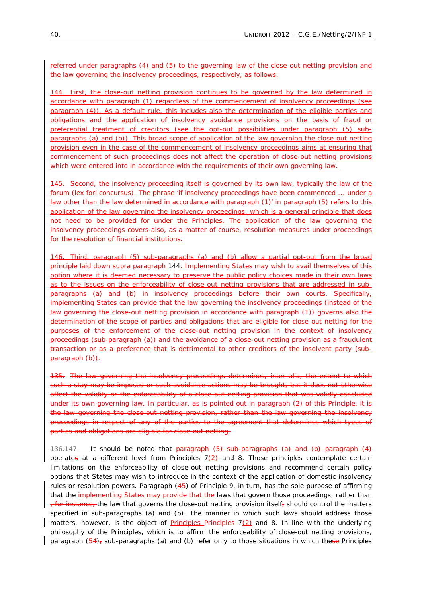referred under *paragraphs (4) and (5)* to the governing law of the close-out netting provision and the law governing the insolvency proceedings, respectively, as follows:

144. First, the close-out netting provision continues to be governed by the law determined in accordance with *paragraph (1)* regardless of the commencement of insolvency proceedings (see *paragraph (4)*). As a default rule, this includes also the determination of the eligible parties and obligations and the application of insolvency avoidance provisions on the basis of fraud or preferential treatment of creditors (see the opt-out possibilities under *paragraph (5) subparagraphs (a) and (b)*). This broad scope of application of the law governing the close-out netting provision even in the case of the commencement of insolvency proceedings aims at ensuring that commencement of such proceedings does not affect the operation of close-out netting provisions which were entered into in accordance with the requirements of their own governing law.

145. Second, the insolvency proceeding itself is governed by its own law, typically the law of the forum (*lex fori concursus)*. The phrase 'if insolvency proceedings have been commenced ... under a law other than the law determined in accordance with *paragraph (1)*' in *paragraph (5)* refers to this application of the law governing the insolvency proceedings, which is a general principle that does not need to be provided for under the Principles. The application of the law governing the insolvency proceedings covers also, as a matter of course, resolution measures under proceedings for the resolution of financial institutions.

146. Third, *paragraph (5) sub-paragraphs (a) and (b)* allow a partial opt-out from the broad principle laid down *supra paragraph* 144. Implementing States may wish to avail themselves of this option where it is deemed necessary to preserve the public policy choices made in their own laws as to the issues on the enforceability of close-out netting provisions that are addressed in *subparagraphs (a) and (b)* in insolvency proceedings before their own courts. Specifically, implementing States can provide that the law governing the insolvency proceedings (instead of the law governing the close-out netting provision in accordance with *paragraph (1)*) governs also the determination of the scope of parties and obligations that are eligible for close-out netting for the purposes of the enforcement of the close-out netting provision in the context of insolvency proceedings (*sub-paragraph (a)*) and the avoidance of a close-out netting provision as a fraudulent transaction or as a preference that is detrimental to other creditors of the insolvent party (*subparagraph (b)*).

135. The law governing the insolvency proceedings determines, *inter alia*, the extent to which such a stay may be imposed or such avoidance actions may be brought, but it does not otherwise affect the validity or the enforceability of a close-out netting provision that was validly concluded under its own governing law. In particular, as is pointed out in *paragraph (2)* of this Principle, it is the law governing the close-out netting provision, rather than the law governing the insolvency proceedings in respect of any of the parties to the agreement that determines which types of parties and obligations are eligible for close-out netting.

136.147. It should be noted that *paragraph (5) sub-paragraphs (a) and (b) paragraph* (4) operates at a different level from *Principles 7(2) and 8*. Those principles contemplate certain limitations on the enforceability of close-out netting provisions and recommend certain policy options that States may wish to introduce in the context of the application of domestic insolvency rules or resolution powers. *Paragraph* (45) of *Principle 9*, in turn, has the sole purpose of affirming that the implementing States may provide that the laws that govern those proceedings, rather than  $\tau$  for instance, the law that governs the close-out netting provision itself, should control the matters specified in *sub-paragraphs (a) and (b)*. The manner in which such laws should address those matters, however, is the object of *Principles* Principles 7(2) and 8. In line with the underlying philosophy of the Principles, which is to affirm the enforceability of close-out netting provisions, *paragraph* (54), *sub-paragraphs (a) and (b)* refer only to those situations in which these Principles